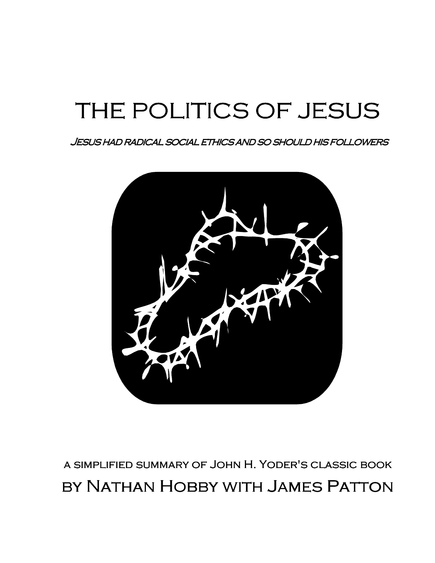# THE POLITICS OF JESUS

Jesus had radical social ethics and so should his followers ollowers



a simplified summary of John H. Yoder's classic book

by Nathan Hobby with James Patton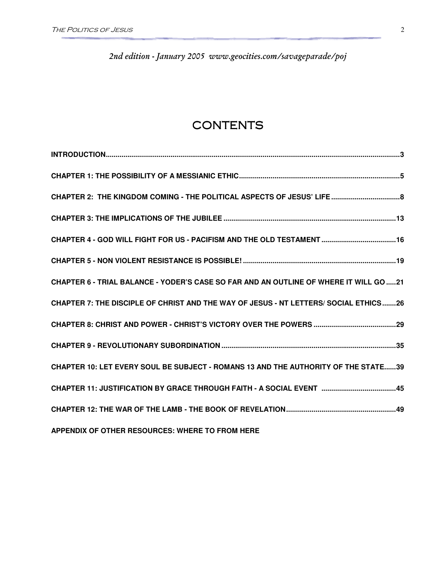2nd edition - January 2005 www.geocities.com/savageparade/poj

### **CONTENTS**

| CHAPTER 6 - TRIAL BALANCE - YODER'S CASE SO FAR AND AN OUTLINE OF WHERE IT WILL GO 21 |
|---------------------------------------------------------------------------------------|
| CHAPTER 7: THE DISCIPLE OF CHRIST AND THE WAY OF JESUS - NT LETTERS/ SOCIAL ETHICS26  |
|                                                                                       |
|                                                                                       |
| CHAPTER 10: LET EVERY SOUL BE SUBJECT - ROMANS 13 AND THE AUTHORITY OF THE STATE39    |
| CHAPTER 11: JUSTIFICATION BY GRACE THROUGH FAITH - A SOCIAL EVENT 45                  |
|                                                                                       |
| APPENDIX OF OTHER RESOURCES: WHERE TO FROM HERE                                       |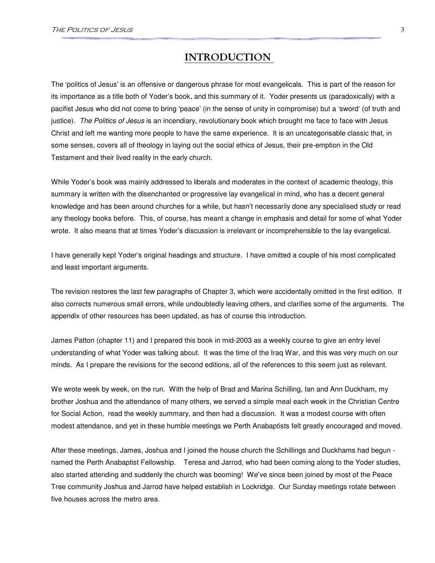### INTRODUCTION

The 'politics of Jesus' is an offensive or dangerous phrase for most evangelicals. This is part of the reason for its importance as a title both of Yoder's book, and this summary of it. Yoder presents us (paradoxically) with a pacifist Jesus who did not come to bring 'peace' (in the sense of unity in compromise) but a 'sword' (of truth and justice). The Politics of Jesus is an incendiary, revolutionary book which brought me face to face with Jesus Christ and left me wanting more people to have the same experience. It is an uncategorisable classic that, in some senses, covers all of theology in laying out the social ethics of Jesus, their pre-emption in the Old Testament and their lived reality in the early church.

While Yoder's book was mainly addressed to liberals and moderates in the context of academic theology, this summary is written with the disenchanted or progressive lay evangelical in mind, who has a decent general knowledge and has been around churches for a while, but hasn't necessarily done any specialised study or read any theology books before. This, of course, has meant a change in emphasis and detail for some of what Yoder wrote. It also means that at times Yoder's discussion is irrelevant or incomprehensible to the lay evangelical.

I have generally kept Yoder's original headings and structure. I have omitted a couple of his most complicated and least important arguments.

The revision restores the last few paragraphs of Chapter 3, which were accidentally omitted in the first edition. It also corrects numerous small errors, while undoubtedly leaving others, and clarifies some of the arguments. The appendix of other resources has been updated, as has of course this introduction.

James Patton (chapter 11) and I prepared this book in mid-2003 as a weekly course to give an entry level understanding of what Yoder was talking about. It was the time of the Iraq War, and this was very much on our minds. As I prepare the revisions for the second editions, all of the references to this seem just as relevant.

We wrote week by week, on the run. With the help of Brad and Marina Schilling, Ian and Ann Duckham, my brother Joshua and the attendance of many others, we served a simple meal each week in the Christian Centre for Social Action, read the weekly summary, and then had a discussion. It was a modest course with often modest attendance, and yet in these humble meetings we Perth Anabaptists felt greatly encouraged and moved.

After these meetings, James, Joshua and I joined the house church the Schillings and Duckhams had begun named the Perth Anabaptist Fellowship. Teresa and Jarrod, who had been coming along to the Yoder studies, also started attending and suddenly the church was booming! We've since been joined by most of the Peace Tree community Joshua and Jarrod have helped establish in Lockridge. Our Sunday meetings rotate between five houses across the metro area.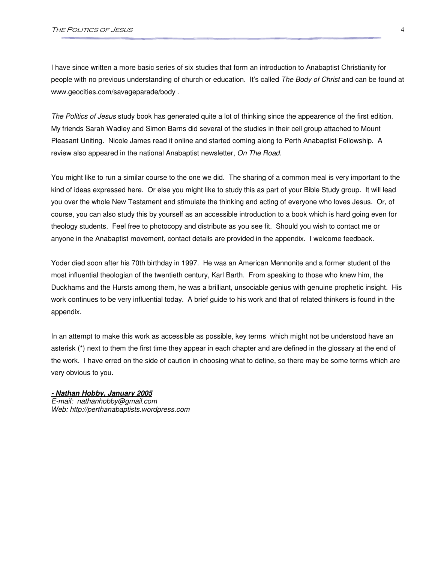I have since written a more basic series of six studies that form an introduction to Anabaptist Christianity for people with no previous understanding of church or education. It's called The Body of Christ and can be found at www.geocities.com/savageparade/body .

The Politics of Jesus study book has generated quite a lot of thinking since the appearence of the first edition. My friends Sarah Wadley and Simon Barns did several of the studies in their cell group attached to Mount Pleasant Uniting. Nicole James read it online and started coming along to Perth Anabaptist Fellowship. A review also appeared in the national Anabaptist newsletter, On The Road.

You might like to run a similar course to the one we did. The sharing of a common meal is very important to the kind of ideas expressed here. Or else you might like to study this as part of your Bible Study group. It will lead you over the whole New Testament and stimulate the thinking and acting of everyone who loves Jesus. Or, of course, you can also study this by yourself as an accessible introduction to a book which is hard going even for theology students. Feel free to photocopy and distribute as you see fit. Should you wish to contact me or anyone in the Anabaptist movement, contact details are provided in the appendix. I welcome feedback.

Yoder died soon after his 70th birthday in 1997. He was an American Mennonite and a former student of the most influential theologian of the twentieth century, Karl Barth. From speaking to those who knew him, the Duckhams and the Hursts among them, he was a brilliant, unsociable genius with genuine prophetic insight. His work continues to be very influential today. A brief guide to his work and that of related thinkers is found in the appendix.

In an attempt to make this work as accessible as possible, key terms which might not be understood have an asterisk (\*) next to them the first time they appear in each chapter and are defined in the glossary at the end of the work. I have erred on the side of caution in choosing what to define, so there may be some terms which are very obvious to you.

**- Nathan Hobby, January 2005** E-mail: nathanhobby@gmail.com Web: http://perthanabaptists.wordpress.com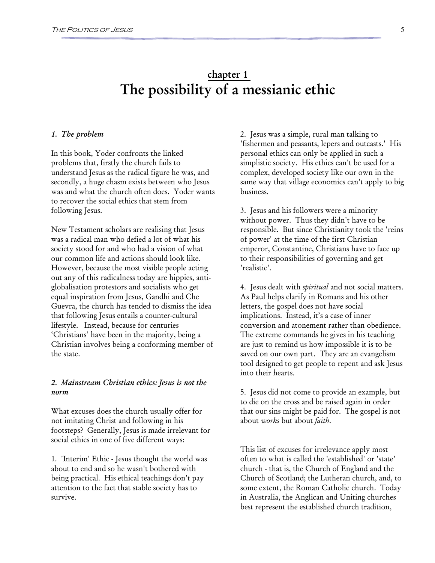### chapter 1 The possibility of a messianic ethic

#### 1. The problem

In this book, Yoder confronts the linked problems that, firstly the church fails to understand Jesus as the radical figure he was, and secondly, a huge chasm exists between who Jesus was and what the church often does. Yoder wants to recover the social ethics that stem from following Jesus.

New Testament scholars are realising that Jesus was a radical man who defied a lot of what his society stood for and who had a vision of what our common life and actions should look like. However, because the most visible people acting out any of this radicalness today are hippies, antiglobalisation protestors and socialists who get equal inspiration from Jesus, Gandhi and Che Guevra, the church has tended to dismiss the idea that following Jesus entails a counter-cultural lifestyle. Instead, because for centuries 'Christians' have been in the majority, being a Christian involves being a conforming member of the state.

#### 2. Mainstream Christian ethics: Jesus is not the norm

What excuses does the church usually offer for not imitating Christ and following in his footsteps? Generally, Jesus is made irrelevant for social ethics in one of five different ways:

1. 'Interim' Ethic - Jesus thought the world was about to end and so he wasn't bothered with being practical. His ethical teachings don't pay attention to the fact that stable society has to survive.

2. Jesus was a simple, rural man talking to 'fishermen and peasants, lepers and outcasts.' His personal ethics can only be applied in such a simplistic society. His ethics can't be used for a complex, developed society like our own in the same way that village economics can't apply to big business.

3. Jesus and his followers were a minority without power. Thus they didn't have to be responsible. But since Christianity took the 'reins of power' at the time of the first Christian emperor, Constantine, Christians have to face up to their responsibilities of governing and get 'realistic'.

4. Jesus dealt with *spiritual* and not social matters. As Paul helps clarify in Romans and his other letters, the gospel does not have social implications. Instead, it's a case of inner conversion and atonement rather than obedience. The extreme commands he gives in his teaching are just to remind us how impossible it is to be saved on our own part. They are an evangelism tool designed to get people to repent and ask Jesus into their hearts.

5. Jesus did not come to provide an example, but to die on the cross and be raised again in order that our sins might be paid for. The gospel is not about works but about faith.

This list of excuses for irrelevance apply most often to what is called the 'established' or 'state' church - that is, the Church of England and the Church of Scotland; the Lutheran church, and, to some extent, the Roman Catholic church. Today in Australia, the Anglican and Uniting churches best represent the established church tradition,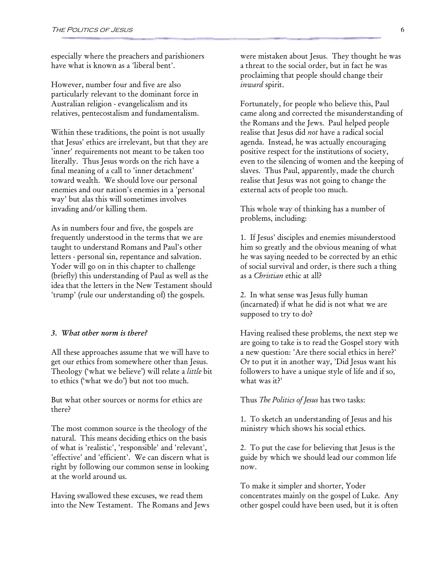especially where the preachers and parishioners have what is known as a 'liberal bent'.

However, number four and five are also particularly relevant to the dominant force in Australian religion - evangelicalism and its relatives, pentecostalism and fundamentalism.

Within these traditions, the point is not usually that Jesus' ethics are irrelevant, but that they are 'inner' requirements not meant to be taken too literally. Thus Jesus words on the rich have a final meaning of a call to 'inner detachment' toward wealth. We should love our personal enemies and our nation's enemies in a 'personal way' but alas this will sometimes involves invading and/or killing them.

As in numbers four and five, the gospels are frequently understood in the terms that we are taught to understand Romans and Paul's other letters - personal sin, repentance and salvation. Yoder will go on in this chapter to challenge (briefly) this understanding of Paul as well as the idea that the letters in the New Testament should 'trump' (rule our understanding of) the gospels.

#### 3. What other norm is there?

All these approaches assume that we will have to get our ethics from somewhere other than Jesus. Theology ('what we believe') will relate a little bit to ethics ('what we do') but not too much.

But what other sources or norms for ethics are there?

The most common source is the theology of the natural. This means deciding ethics on the basis of what is 'realistic', 'responsible' and 'relevant', 'effective' and 'efficient'. We can discern what is right by following our common sense in looking at the world around us.

Having swallowed these excuses, we read them into the New Testament. The Romans and Jews were mistaken about Jesus. They thought he was a threat to the social order, but in fact he was proclaiming that people should change their inward spirit.

Fortunately, for people who believe this, Paul came along and corrected the misunderstanding of the Romans and the Jews. Paul helped people realise that Jesus did not have a radical social agenda. Instead, he was actually encouraging positive respect for the institutions of society, even to the silencing of women and the keeping of slaves. Thus Paul, apparently, made the church realise that Jesus was not going to change the external acts of people too much.

This whole way of thinking has a number of problems, including:

1. If Jesus' disciples and enemies misunderstood him so greatly and the obvious meaning of what he was saying needed to be corrected by an ethic of social survival and order, is there such a thing as a Christian ethic at all?

2. In what sense was Jesus fully human (incarnated) if what he did is not what we are supposed to try to do?

Having realised these problems, the next step we are going to take is to read the Gospel story with a new question: 'Are there social ethics in here?' Or to put it in another way, 'Did Jesus want his followers to have a unique style of life and if so, what was it?'

Thus *The Politics of Jesus* has two tasks:

1. To sketch an understanding of Jesus and his ministry which shows his social ethics.

2. To put the case for believing that Jesus is the guide by which we should lead our common life now.

To make it simpler and shorter, Yoder concentrates mainly on the gospel of Luke. Any other gospel could have been used, but it is often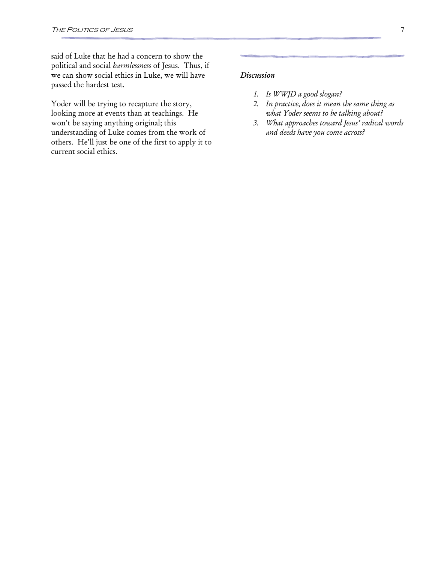said of Luke that he had a concern to show the political and social harmlessness of Jesus. Thus, if we can show social ethics in Luke, we will have passed the hardest test.

Yoder will be trying to recapture the story, looking more at events than at teachings. He won't be saying anything original; this understanding of Luke comes from the work of others. He'll just be one of the first to apply it to current social ethics.

#### Discussion

- 1. Is WWJD a good slogan?
- 2. In practice, does it mean the same thing as what Yoder seems to be talking about?
- 3. What approaches toward Jesus' radical words and deeds have you come across?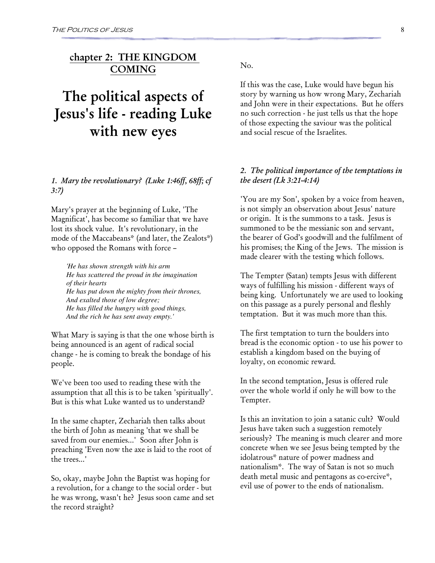### chapter 2: THE KINGDOM COMING

# The political aspects of Jesus's life - reading Luke with new eyes

#### 1. Mary the revolutionary? (Luke 1:46ff, 68ff; cf 3:7)

Mary's prayer at the beginning of Luke, 'The Magnificat', has become so familiar that we have lost its shock value. It's revolutionary, in the mode of the Maccabeans\* (and later, the Zealots\*) who opposed the Romans with force –

*'He has shown strength with his arm He has scattered the proud in the imagination of their hearts He has put down the mighty from their thrones, And exalted those of low degree; He has filled the hungry with good things, And the rich he has sent away empty.'* 

What Mary is saying is that the one whose birth is being announced is an agent of radical social change - he is coming to break the bondage of his people.

We've been too used to reading these with the assumption that all this is to be taken 'spiritually'. But is this what Luke wanted us to understand?

In the same chapter, Zechariah then talks about the birth of John as meaning 'that we shall be saved from our enemies...' Soon after John is preaching 'Even now the axe is laid to the root of the trees...'

So, okay, maybe John the Baptist was hoping for a revolution, for a change to the social order - but he was wrong, wasn't he? Jesus soon came and set the record straight?

No.

If this was the case, Luke would have begun his story by warning us how wrong Mary, Zechariah and John were in their expectations. But he offers no such correction - he just tells us that the hope of those expecting the saviour was the political and social rescue of the Israelites.

#### 2. The political importance of the temptations in the desert (Lk 3:21-4:14)

'You are my Son', spoken by a voice from heaven, is not simply an observation about Jesus' nature or origin. It is the summons to a task. Jesus is summoned to be the messianic son and servant, the bearer of God's goodwill and the fulfilment of his promises; the King of the Jews. The mission is made clearer with the testing which follows.

The Tempter (Satan) tempts Jesus with different ways of fulfilling his mission - different ways of being king. Unfortunately we are used to looking on this passage as a purely personal and fleshly temptation. But it was much more than this.

The first temptation to turn the boulders into bread is the economic option - to use his power to establish a kingdom based on the buying of loyalty, on economic reward.

In the second temptation, Jesus is offered rule over the whole world if only he will bow to the Tempter.

Is this an invitation to join a satanic cult? Would Jesus have taken such a suggestion remotely seriously? The meaning is much clearer and more concrete when we see Jesus being tempted by the idolatrous\* nature of power madness and nationalism\*. The way of Satan is not so much death metal music and pentagons as co-ercive\*, evil use of power to the ends of nationalism.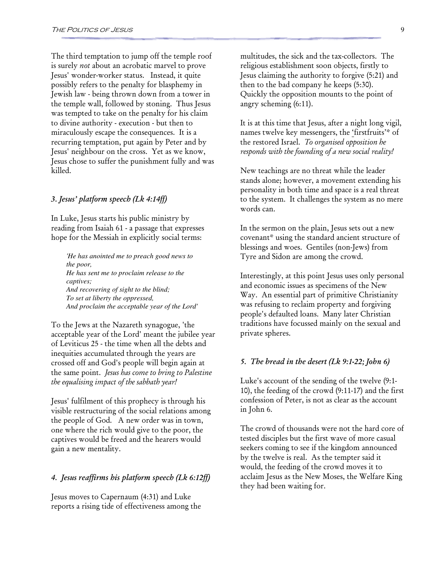The third temptation to jump off the temple roof is surely not about an acrobatic marvel to prove Jesus' wonder-worker status. Instead, it quite possibly refers to the penalty for blasphemy in Jewish law - being thrown down from a tower in the temple wall, followed by stoning. Thus Jesus was tempted to take on the penalty for his claim to divine authority - execution - but then to miraculously escape the consequences. It is a recurring temptation, put again by Peter and by Jesus' neighbour on the cross. Yet as we know, Jesus chose to suffer the punishment fully and was killed.

#### 3. Jesus' platform speech (Lk 4:14ff)

In Luke, Jesus starts his public ministry by reading from Isaiah 61 - a passage that expresses hope for the Messiah in explicitly social terms:

*'He has anointed me to preach good news to the poor, He has sent me to proclaim release to the captives; And recovering of sight to the blind; To set at liberty the oppressed, And proclaim the acceptable year of the Lord'* 

To the Jews at the Nazareth synagogue, 'the acceptable year of the Lord' meant the jubilee year of Leviticus 25 - the time when all the debts and inequities accumulated through the years are crossed off and God's people will begin again at the same point. Jesus has come to bring to Palestine the equalising impact of the sabbath year!

Jesus' fulfilment of this prophecy is through his visible restructuring of the social relations among the people of God. A new order was in town, one where the rich would give to the poor, the captives would be freed and the hearers would gain a new mentality.

#### 4. Jesus reaffirms his platform speech (Lk 6:12ff)

Jesus moves to Capernaum (4:31) and Luke reports a rising tide of effectiveness among the

multitudes, the sick and the tax-collectors. The religious establishment soon objects, firstly to Jesus claiming the authority to forgive (5:21) and then to the bad company he keeps (5:30). Quickly the opposition mounts to the point of angry scheming (6:11).

It is at this time that Jesus, after a night long vigil, names twelve key messengers, the 'firstfruits'\* of the restored Israel. To organised opposition he responds with the founding of a new social reality!

New teachings are no threat while the leader stands alone; however, a movement extending his personality in both time and space is a real threat to the system. It challenges the system as no mere words can.

In the sermon on the plain, Jesus sets out a new covenant\* using the standard ancient structure of blessings and woes. Gentiles (non-Jews) from Tyre and Sidon are among the crowd.

Interestingly, at this point Jesus uses only personal and economic issues as specimens of the New Way. An essential part of primitive Christianity was refusing to reclaim property and forgiving people's defaulted loans. Many later Christian traditions have focussed mainly on the sexual and private spheres.

#### 5. The bread in the desert (Lk 9:1-22; John 6)

Luke's account of the sending of the twelve (9:1- 10), the feeding of the crowd (9:11-17) and the first confession of Peter, is not as clear as the account in John 6.

The crowd of thousands were not the hard core of tested disciples but the first wave of more casual seekers coming to see if the kingdom announced by the twelve is real. As the tempter said it would, the feeding of the crowd moves it to acclaim Jesus as the New Moses, the Welfare King they had been waiting for.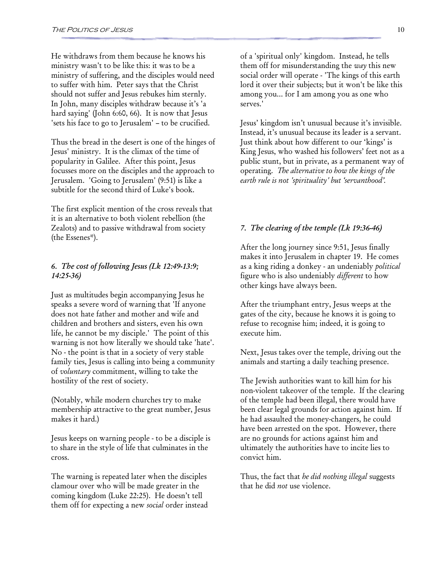He withdraws from them because he knows his ministry wasn't to be like this: it was to be a ministry of suffering, and the disciples would need to suffer with him. Peter says that the Christ should not suffer and Jesus rebukes him sternly. In John, many disciples withdraw because it's 'a hard saying' (John 6:60, 66). It is now that Jesus 'sets his face to go to Jerusalem' – to be crucified.

Thus the bread in the desert is one of the hinges of Jesus' ministry. It is the climax of the time of popularity in Galilee. After this point, Jesus focusses more on the disciples and the approach to Jerusalem. 'Going to Jerusalem' (9:51) is like a subtitle for the second third of Luke's book.

The first explicit mention of the cross reveals that it is an alternative to both violent rebellion (the Zealots) and to passive withdrawal from society (the Essenes\*).

#### 6. The cost of following Jesus (Lk 12:49-13:9; 14:25-36)

Just as multitudes begin accompanying Jesus he speaks a severe word of warning that 'If anyone does not hate father and mother and wife and children and brothers and sisters, even his own life, he cannot be my disciple.' The point of this warning is not how literally we should take 'hate'. No - the point is that in a society of very stable family ties, Jesus is calling into being a community of voluntary commitment, willing to take the hostility of the rest of society.

(Notably, while modern churches try to make membership attractive to the great number, Jesus makes it hard.)

Jesus keeps on warning people - to be a disciple is to share in the style of life that culminates in the cross.

The warning is repeated later when the disciples clamour over who will be made greater in the coming kingdom (Luke 22:25). He doesn't tell them off for expecting a new social order instead of a 'spiritual only' kingdom. Instead, he tells them off for misunderstanding the way this new social order will operate - 'The kings of this earth lord it over their subjects; but it won't be like this among you... for I am among you as one who serves.'

Jesus' kingdom isn't unusual because it's invisible. Instead, it's unusual because its leader is a servant. Just think about how different to our 'kings' is King Jesus, who washed his followers' feet not as a public stunt, but in private, as a permanent way of operating. The alternative to how the kings of the earth rule is not 'spirituality' but 'servanthood'.

#### 7. The clearing of the temple (Lk 19:36-46)

After the long journey since 9:51, Jesus finally makes it into Jerusalem in chapter 19. He comes as a king riding a donkey - an undeniably political figure who is also undeniably different to how other kings have always been.

After the triumphant entry, Jesus weeps at the gates of the city, because he knows it is going to refuse to recognise him; indeed, it is going to execute him.

Next, Jesus takes over the temple, driving out the animals and starting a daily teaching presence.

The Jewish authorities want to kill him for his non-violent takeover of the temple. If the clearing of the temple had been illegal, there would have been clear legal grounds for action against him. If he had assaulted the money-changers, he could have been arrested on the spot. However, there are no grounds for actions against him and ultimately the authorities have to incite lies to convict him.

Thus, the fact that *he did nothing illegal* suggests that he did not use violence.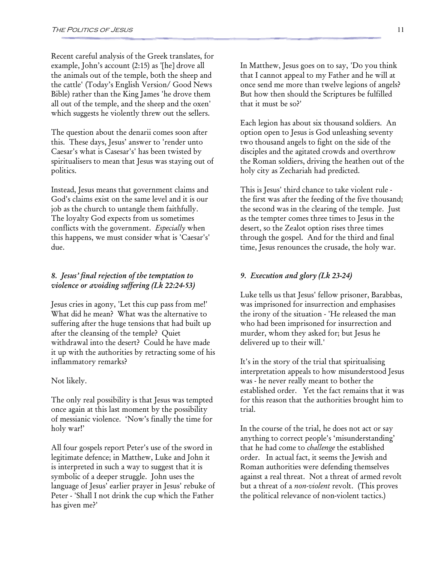Recent careful analysis of the Greek translates, for example, John's account (2:15) as '[he] drove all the animals out of the temple, both the sheep and the cattle' (Today's English Version/ Good News Bible) rather than the King James 'he drove them all out of the temple, and the sheep and the oxen' which suggests he violently threw out the sellers.

The question about the denarii comes soon after this. These days, Jesus' answer to 'render unto Caesar's what is Casesar's' has been twisted by spiritualisers to mean that Jesus was staying out of politics.

Instead, Jesus means that government claims and God's claims exist on the same level and it is our job as the church to untangle them faithfully. The loyalty God expects from us sometimes conflicts with the government. Especially when this happens, we must consider what is 'Caesar's' due.

#### 8. Jesus' final rejection of the temptation to violence or avoiding suffering (Lk 22:24-53)

Jesus cries in agony, 'Let this cup pass from me!' What did he mean? What was the alternative to suffering after the huge tensions that had built up after the cleansing of the temple? Quiet withdrawal into the desert? Could he have made it up with the authorities by retracting some of his inflammatory remarks?

#### Not likely.

The only real possibility is that Jesus was tempted once again at this last moment by the possibility of messianic violence. 'Now's finally the time for holy war!'

All four gospels report Peter's use of the sword in legitimate defence; in Matthew, Luke and John it is interpreted in such a way to suggest that it is symbolic of a deeper struggle. John uses the language of Jesus' earlier prayer in Jesus' rebuke of Peter - 'Shall I not drink the cup which the Father has given me?'

In Matthew, Jesus goes on to say, 'Do you think that I cannot appeal to my Father and he will at once send me more than twelve legions of angels? But how then should the Scriptures be fulfilled that it must be so?'

Each legion has about six thousand soldiers. An option open to Jesus is God unleashing seventy two thousand angels to fight on the side of the disciples and the agitated crowds and overthrow the Roman soldiers, driving the heathen out of the holy city as Zechariah had predicted.

This is Jesus' third chance to take violent rule the first was after the feeding of the five thousand; the second was in the clearing of the temple. Just as the tempter comes three times to Jesus in the desert, so the Zealot option rises three times through the gospel. And for the third and final time, Jesus renounces the crusade, the holy war.

#### 9. Execution and glory (Lk 23-24)

Luke tells us that Jesus' fellow prisoner, Barabbas, was imprisoned for insurrection and emphasises the irony of the situation - 'He released the man who had been imprisoned for insurrection and murder, whom they asked for; but Jesus he delivered up to their will.'

It's in the story of the trial that spiritualising interpretation appeals to how misunderstood Jesus was - he never really meant to bother the established order. Yet the fact remains that it was for this reason that the authorities brought him to trial.

In the course of the trial, he does not act or say anything to correct people's 'misunderstanding' that he had come to challenge the established order. In actual fact, it seems the Jewish and Roman authorities were defending themselves against a real threat. Not a threat of armed revolt but a threat of a non-violent revolt. (This proves the political relevance of non-violent tactics.)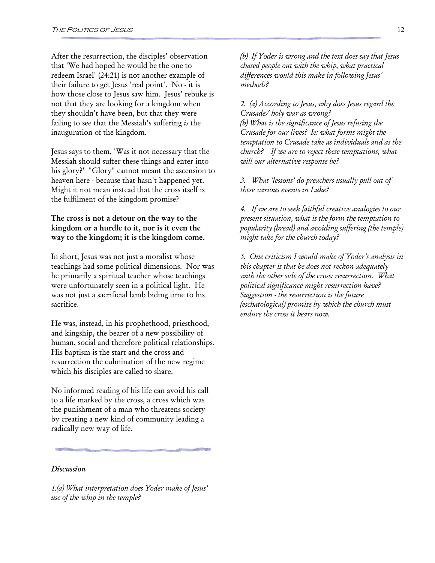After the resurrection, the disciples' observation that 'We had hoped he would be the one to redeem Israel' (24:21) is not another example of their failure to get Jesus 'real point'. No - it is how those close to Jesus saw him. Jesus' rebuke is not that they are looking for a kingdom when they shouldn't have been, but that they were failing to see that the Messiah's suffering is the inauguration of the kingdom.

Jesus says to them, 'Was it not necessary that the Messiah should suffer these things and enter into his glory?' "Glory" cannot meant the ascension to heaven here - because that hasn't happened yet. Might it not mean instead that the cross itself is the fulfilment of the kingdom promise?

#### The cross is not a detour on the way to the kingdom or a hurdle to it, nor is it even the way to the kingdom; it is the kingdom come.

In short, Jesus was not just a moralist whose teachings had some political dimensions. Nor was he primarily a spiritual teacher whose teachings were unfortunately seen in a political light. He was not just a sacrificial lamb biding time to his sacrifice.

He was, instead, in his prophethood, priesthood, and kingship, the bearer of a new possibility of human, social and therefore political relationships. His baptism is the start and the cross and resurrection the culmination of the new regime which his disciples are called to share.

No informed reading of his life can avoid his call to a life marked by the cross, a cross which was the punishment of a man who threatens society by creating a new kind of community leading a radically new way of life.

#### **Discussion**

1.(a) What interpretation does Yoder make of Jesus' use of the whip in the temple?

(b) If Yoder is wrong and the text does say that Jesus chased people out with the whip, what practical differences would this make in following Jesus' methods?

2. (a) According to Jesus, why does Jesus regard the Crusade/ holy war as wrong? (b) What is the significance of Jesus refusing the Crusade for our lives? Ie: what forms might the temptation to Crusade take as individuals and as the church? If we are to reject these temptations, what will our alternative response be?

3. What 'lessons' do preachers usually pull out of these various events in Luke?

4. If we are to seek faithful creative analogies to our present situation, what is the form the temptation to popularity (bread) and avoiding suffering (the temple) might take for the church today?

5. One criticism I would make of Yoder's analysis in this chapter is that he does not reckon adequately with the other side of the cross: resurrection. What political significance might resurrection have? Suggestion - the resurrection is the future (eschatological) promise by which the church must endure the cross it bears now.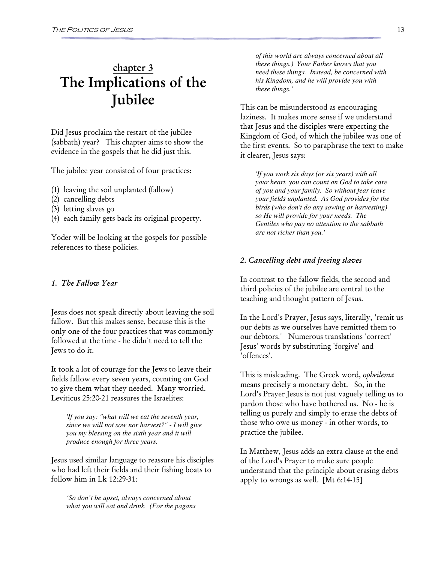## chapter 3 The Implications of the Jubilee

Did Jesus proclaim the restart of the jubilee (sabbath) year? This chapter aims to show the evidence in the gospels that he did just this.

The jubilee year consisted of four practices:

- (1) leaving the soil unplanted (fallow)
- (2) cancelling debts
- (3) letting slaves go
- (4) each family gets back its original property.

Yoder will be looking at the gospels for possible references to these policies.

#### 1. The Fallow Year

Jesus does not speak directly about leaving the soil fallow. But this makes sense, because this is the only one of the four practices that was commonly followed at the time - he didn't need to tell the Jews to do it.

It took a lot of courage for the Jews to leave their fields fallow every seven years, counting on God to give them what they needed. Many worried. Leviticus 25:20-21 reassures the Israelites:

*'If you say: "what will we eat the seventh year, since we will not sow nor harvest?" - I will give you my blessing on the sixth year and it will produce enough for three years.* 

Jesus used similar language to reassure his disciples who had left their fields and their fishing boats to follow him in Lk 12:29-31:

*'So don't be upset, always concerned about what you will eat and drink. (For the pagans*  *of this world are always concerned about all these things.) Your Father knows that you need these things. Instead, be concerned with his Kingdom, and he will provide you with these things.'* 

This can be misunderstood as encouraging laziness. It makes more sense if we understand that Jesus and the disciples were expecting the Kingdom of God, of which the jubilee was one of the first events. So to paraphrase the text to make it clearer, Jesus says:

*'If you work six days (or six years) with all your heart, you can count on God to take care of you and your family. So without fear leave your fields unplanted. As God provides for the birds (who don't do any sowing or harvesting) so He will provide for your needs. The Gentiles who pay no attention to the sabbath are not richer than you.'* 

#### 2. Cancelling debt and freeing slaves

In contrast to the fallow fields, the second and third policies of the jubilee are central to the teaching and thought pattern of Jesus.

In the Lord's Prayer, Jesus says, literally, 'remit us our debts as we ourselves have remitted them to our debtors.' Numerous translations 'correct' Jesus' words by substituting 'forgive' and 'offences'.

This is misleading. The Greek word, opheilema means precisely a monetary debt. So, in the Lord's Prayer Jesus is not just vaguely telling us to pardon those who have bothered us. No - he is telling us purely and simply to erase the debts of those who owe us money - in other words, to practice the jubilee.

In Matthew, Jesus adds an extra clause at the end of the Lord's Prayer to make sure people understand that the principle about erasing debts apply to wrongs as well. [Mt 6:14-15]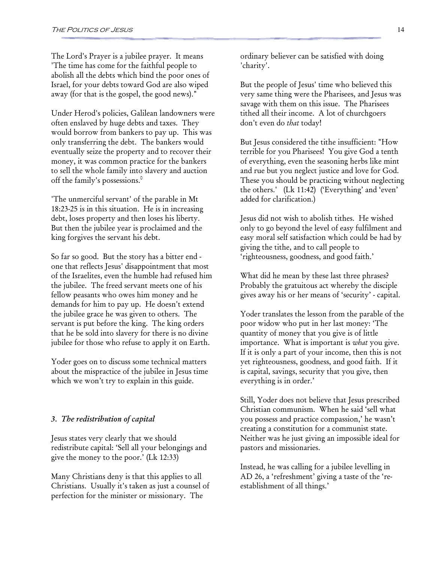The Lord's Prayer is a jubilee prayer. It means 'The time has come for the faithful people to abolish all the debts which bind the poor ones of Israel, for your debts toward God are also wiped away (for that is the gospel, the good news)."

Under Herod's policies, Galilean landowners were often enslaved by huge debts and taxes. They would borrow from bankers to pay up. This was only transferring the debt. The bankers would eventually seize the property and to recover their money, it was common practice for the bankers to sell the whole family into slavery and auction off the family's possessions.<sup>0</sup>

'The unmerciful servant' of the parable in Mt 18:23-25 is in this situation. He is in increasing debt, loses property and then loses his liberty. But then the jubilee year is proclaimed and the king forgives the servant his debt.

So far so good. But the story has a bitter end one that reflects Jesus' disappointment that most of the Israelites, even the humble had refused him the jubilee. The freed servant meets one of his fellow peasants who owes him money and he demands for him to pay up. He doesn't extend the jubilee grace he was given to others. The servant is put before the king. The king orders that he be sold into slavery for there is no divine jubilee for those who refuse to apply it on Earth.

Yoder goes on to discuss some technical matters about the mispractice of the jubilee in Jesus time which we won't try to explain in this guide.

#### 3. The redistribution of capital

Jesus states very clearly that we should redistribute capital: 'Sell all your belongings and give the money to the poor.' (Lk 12:33)

Many Christians deny is that this applies to all Christians. Usually it's taken as just a counsel of perfection for the minister or missionary. The

ordinary believer can be satisfied with doing 'charity'.

But the people of Jesus' time who believed this very same thing were the Pharisees, and Jesus was savage with them on this issue. The Pharisees tithed all their income. A lot of churchgoers don't even do that today!

But Jesus considered the tithe insufficient: "How terrible for you Pharisees! You give God a tenth of everything, even the seasoning herbs like mint and rue but you neglect justice and love for God. These you should be practicing without neglecting the others.' (Lk 11:42) ('Everything' and 'even' added for clarification.)

Jesus did not wish to abolish tithes. He wished only to go beyond the level of easy fulfilment and easy moral self satisfaction which could be had by giving the tithe, and to call people to 'righteousness, goodness, and good faith.'

What did he mean by these last three phrases? Probably the gratuitous act whereby the disciple gives away his or her means of 'security' - capital.

Yoder translates the lesson from the parable of the poor widow who put in her last money: 'The quantity of money that you give is of little importance. What is important is what you give. If it is only a part of your income, then this is not yet righteousness, goodness, and good faith. If it is capital, savings, security that you give, then everything is in order.'

Still, Yoder does not believe that Jesus prescribed Christian communism. When he said 'sell what you possess and practice compassion,' he wasn't creating a constitution for a communist state. Neither was he just giving an impossible ideal for pastors and missionaries.

Instead, he was calling for a jubilee levelling in AD 26, a 'refreshment' giving a taste of the 'reestablishment of all things.'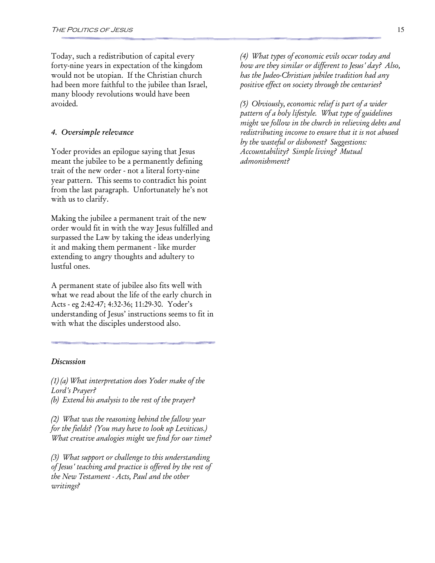Today, such a redistribution of capital every forty-nine years in expectation of the kingdom would not be utopian. If the Christian church had been more faithful to the jubilee than Israel, many bloody revolutions would have been avoided.

#### 4. Oversimple relevance

Yoder provides an epilogue saying that Jesus meant the jubilee to be a permanently defining trait of the new order - not a literal forty-nine year pattern. This seems to contradict his point from the last paragraph. Unfortunately he's not with us to clarify.

Making the jubilee a permanent trait of the new order would fit in with the way Jesus fulfilled and surpassed the Law by taking the ideas underlying it and making them permanent - like murder extending to angry thoughts and adultery to lustful ones.

A permanent state of jubilee also fits well with what we read about the life of the early church in Acts - eg 2:42-47; 4:32-36; 11:29-30. Yoder's understanding of Jesus' instructions seems to fit in with what the disciples understood also.

#### **Discussion**

(1) (a) What interpretation does Yoder make of the Lord's Prayer?

(b) Extend his analysis to the rest of the prayer?

(2) What was the reasoning behind the fallow year for the fields? (You may have to look up Leviticus.) What creative analogies might we find for our time?

(3) What support or challenge to this understanding of Jesus' teaching and practice is offered by the rest of the New Testament - Acts, Paul and the other writings?

(4) What types of economic evils occur today and how are they similar or different to Jesus' day? Also, has the Judeo-Christian jubilee tradition had any positive effect on society through the centuries?

(5) Obviously, economic relief is part of a wider pattern of a holy lifestyle. What type of guidelines might we follow in the church in relieving debts and redistributing income to ensure that it is not abused by the wasteful or dishonest? Suggestions: Accountability? Simple living? Mutual admonishment?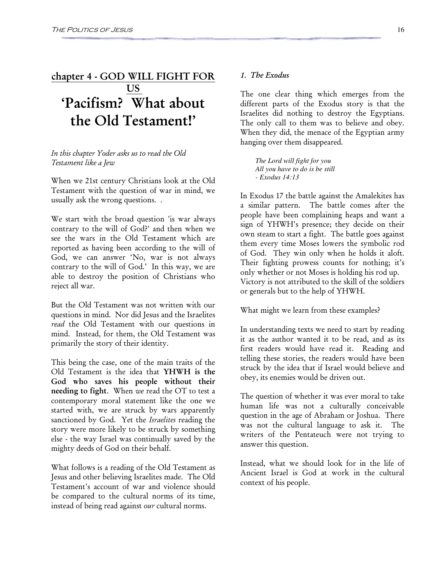### chapter 4 - GOD WILL FIGHT FOR **US** 'Pacifism? What about the Old Testament!'

#### In this chapter Yoder asks us to read the Old Testament like a Jew

When we 21st century Christians look at the Old Testament with the question of war in mind, we usually ask the wrong questions. .

We start with the broad question 'is war always contrary to the will of God?' and then when we see the wars in the Old Testament which are reported as having been according to the will of God, we can answer 'No, war is not always contrary to the will of God.' In this way, we are able to destroy the position of Christians who reject all war.

But the Old Testament was not written with our questions in mind. Nor did Jesus and the Israelites read the Old Testament with our questions in mind. Instead, for them, the Old Testament was primarily the story of their identity.

This being the case, one of the main traits of the Old Testament is the idea that YHWH is the God who saves his people without their needing to fight. When we read the OT to test a contemporary moral statement like the one we started with, we are struck by wars apparently sanctioned by God. Yet the Israelites reading the story were more likely to be struck by something else - the way Israel was continually saved by the mighty deeds of God on their behalf.

What follows is a reading of the Old Testament as Jesus and other believing Israelites made. The Old Testament's account of war and violence should be compared to the cultural norms of its time, instead of being read against our cultural norms.

#### 1. The Exodus

The one clear thing which emerges from the different parts of the Exodus story is that the Israelites did nothing to destroy the Egyptians. The only call to them was to believe and obey. When they did, the menace of the Egyptian army hanging over them disappeared.

*The Lord will fight for you All you have to do is be still - Exodus 14:13* 

In Exodus 17 the battle against the Amalekites has a similar pattern. The battle comes after the people have been complaining heaps and want a sign of YHWH's presence; they decide on their own steam to start a fight. The battle goes against them every time Moses lowers the symbolic rod of God. They win only when he holds it aloft. Their fighting prowess counts for nothing; it's only whether or not Moses is holding his rod up. Victory is not attributed to the skill of the soldiers or generals but to the help of YHWH.

What might we learn from these examples?

In understanding texts we need to start by reading it as the author wanted it to be read, and as its first readers would have read it. Reading and telling these stories, the readers would have been struck by the idea that if Israel would believe and obey, its enemies would be driven out.

The question of whether it was ever moral to take human life was not a culturally conceivable question in the age of Abraham or Joshua. There was not the cultural language to ask it. The writers of the Pentateuch were not trying to answer this question.

Instead, what we should look for in the life of Ancient Israel is God at work in the cultural context of his people.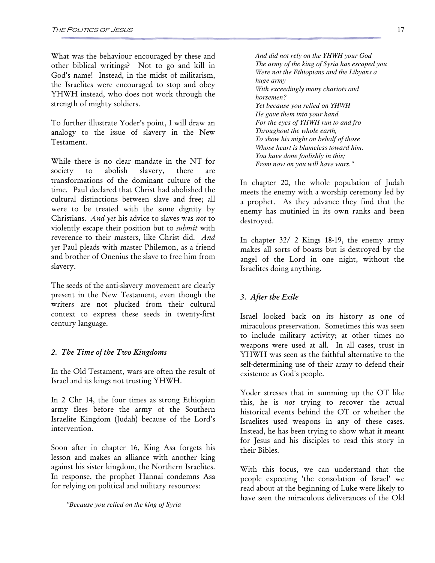What was the behaviour encouraged by these and other biblical writings? Not to go and kill in God's name! Instead, in the midst of militarism, the Israelites were encouraged to stop and obey YHWH instead, who does not work through the strength of mighty soldiers.

To further illustrate Yoder's point, I will draw an analogy to the issue of slavery in the New Testament.

While there is no clear mandate in the NT for society to abolish slavery, there are transformations of the dominant culture of the time. Paul declared that Christ had abolished the cultural distinctions between slave and free; all were to be treated with the same dignity by Christians. And yet his advice to slaves was not to violently escape their position but to submit with reverence to their masters, like Christ did. And yet Paul pleads with master Philemon, as a friend and brother of Onenius the slave to free him from slavery.

The seeds of the anti-slavery movement are clearly present in the New Testament, even though the writers are not plucked from their cultural context to express these seeds in twenty-first century language.

#### 2. The Time of the Two Kingdoms

In the Old Testament, wars are often the result of Israel and its kings not trusting YHWH.

In 2 Chr 14, the four times as strong Ethiopian army flees before the army of the Southern Israelite Kingdom (Judah) because of the Lord's intervention.

Soon after in chapter 16, King Asa forgets his lesson and makes an alliance with another king against his sister kingdom, the Northern Israelites. In response, the prophet Hannai condemns Asa for relying on political and military resources:

*"Because you relied on the king of Syria* 

*And did not rely on the YHWH your God The army of the king of Syria has escaped you Were not the Ethiopians and the Libyans a huge army With exceedingly many chariots and horsemen? Yet because you relied on YHWH He gave them into your hand. For the eyes of YHWH run to and fro Throughout the whole earth, To show his might on behalf of those Whose heart is blameless toward him. You have done foolishly in this; From now on you will have wars."* 

In chapter 20, the whole population of Judah meets the enemy with a worship ceremony led by a prophet. As they advance they find that the enemy has mutinied in its own ranks and been destroyed.

In chapter 32/ 2 Kings 18-19, the enemy army makes all sorts of boasts but is destroyed by the angel of the Lord in one night, without the Israelites doing anything.

#### 3. After the Exile

Israel looked back on its history as one of miraculous preservation. Sometimes this was seen to include military activity; at other times no weapons were used at all. In all cases, trust in YHWH was seen as the faithful alternative to the self-determining use of their army to defend their existence as God's people.

Yoder stresses that in summing up the OT like this, he is *not* trying to recover the actual historical events behind the OT or whether the Israelites used weapons in any of these cases. Instead, he has been trying to show what it meant for Jesus and his disciples to read this story in their Bibles.

With this focus, we can understand that the people expecting 'the consolation of Israel' we read about at the beginning of Luke were likely to have seen the miraculous deliverances of the Old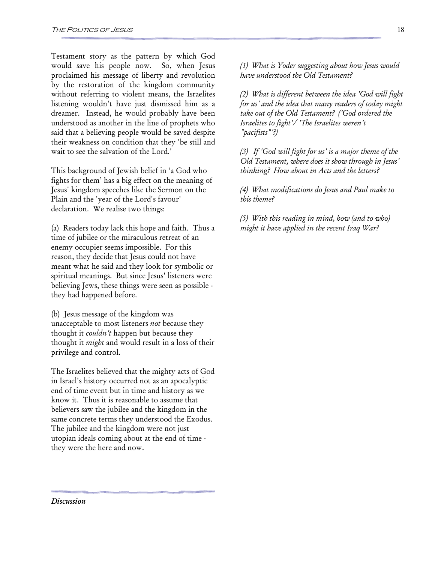Testament story as the pattern by which God would save his people now. So, when Jesus proclaimed his message of liberty and revolution by the restoration of the kingdom community without referring to violent means, the Israelites listening wouldn't have just dismissed him as a dreamer. Instead, he would probably have been understood as another in the line of prophets who said that a believing people would be saved despite their weakness on condition that they 'be still and wait to see the salvation of the Lord.'

This background of Jewish belief in 'a God who fights for them' has a big effect on the meaning of Jesus' kingdom speeches like the Sermon on the Plain and the 'year of the Lord's favour' declaration. We realise two things:

(a) Readers today lack this hope and faith. Thus a time of jubilee or the miraculous retreat of an enemy occupier seems impossible. For this reason, they decide that Jesus could not have meant what he said and they look for symbolic or spiritual meanings. But since Jesus' listeners were believing Jews, these things were seen as possible they had happened before.

(b) Jesus message of the kingdom was unacceptable to most listeners not because they thought it *couldn't* happen but because they thought it might and would result in a loss of their privilege and control.

The Israelites believed that the mighty acts of God in Israel's history occurred not as an apocalyptic end of time event but in time and history as we know it. Thus it is reasonable to assume that believers saw the jubilee and the kingdom in the same concrete terms they understood the Exodus. The jubilee and the kingdom were not just utopian ideals coming about at the end of time they were the here and now.

(1) What is Yoder suggesting about how Jesus would have understood the Old Testament?

(2) What is different between the idea 'God will fight for us' and the idea that many readers of today might take out of the Old Testament? ('God ordered the Israelites to fight'/ 'The Israelites weren't "pacifists"'?)

(3) If 'God will fight for us' is a major theme of the Old Testament, where does it show through in Jesus' thinking? How about in Acts and the letters?

(4) What modifications do Jesus and Paul make to this theme?

(5) With this reading in mind, how (and to who) might it have applied in the recent Iraq War?

**Discussion**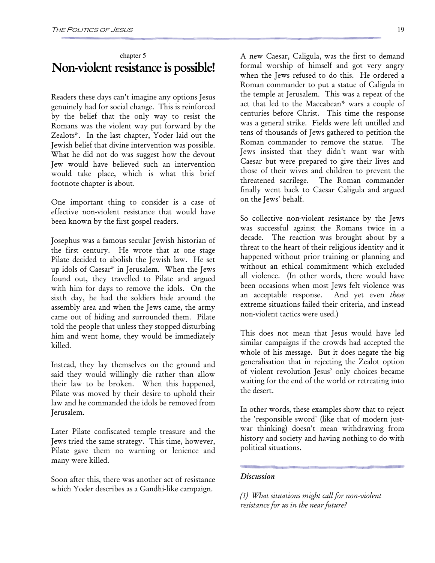### chapter 5 Non-violent resistance is possible!

Readers these days can't imagine any options Jesus genuinely had for social change. This is reinforced by the belief that the only way to resist the Romans was the violent way put forward by the Zealots\*. In the last chapter, Yoder laid out the Jewish belief that divine intervention was possible. What he did not do was suggest how the devout Jew would have believed such an intervention would take place, which is what this brief footnote chapter is about.

One important thing to consider is a case of effective non-violent resistance that would have been known by the first gospel readers.

Josephus was a famous secular Jewish historian of the first century. He wrote that at one stage Pilate decided to abolish the Jewish law. He set up idols of Caesar\* in Jerusalem. When the Jews found out, they travelled to Pilate and argued with him for days to remove the idols. On the sixth day, he had the soldiers hide around the assembly area and when the Jews came, the army came out of hiding and surrounded them. Pilate told the people that unless they stopped disturbing him and went home, they would be immediately killed.

Instead, they lay themselves on the ground and said they would willingly die rather than allow their law to be broken. When this happened, Pilate was moved by their desire to uphold their law and he commanded the idols be removed from Jerusalem.

Later Pilate confiscated temple treasure and the Jews tried the same strategy. This time, however, Pilate gave them no warning or lenience and many were killed.

Soon after this, there was another act of resistance which Yoder describes as a Gandhi-like campaign.

A new Caesar, Caligula, was the first to demand formal worship of himself and got very angry when the Jews refused to do this. He ordered a Roman commander to put a statue of Caligula in the temple at Jerusalem. This was a repeat of the act that led to the Maccabean\* wars a couple of centuries before Christ. This time the response was a general strike. Fields were left untilled and tens of thousands of Jews gathered to petition the Roman commander to remove the statue. The Jews insisted that they didn't want war with Caesar but were prepared to give their lives and those of their wives and children to prevent the threatened sacrilege. The Roman commander finally went back to Caesar Caligula and argued on the Jews' behalf.

So collective non-violent resistance by the Jews was successful against the Romans twice in a decade. The reaction was brought about by a threat to the heart of their religious identity and it happened without prior training or planning and without an ethical commitment which excluded all violence. (In other words, there would have been occasions when most Jews felt violence was an acceptable response. And yet even *these* extreme situations failed their criteria, and instead non-violent tactics were used.)

This does not mean that Jesus would have led similar campaigns if the crowds had accepted the whole of his message. But it does negate the big generalisation that in rejecting the Zealot option of violent revolution Jesus' only choices became waiting for the end of the world or retreating into the desert.

In other words, these examples show that to reject the 'responsible sword' (like that of modern justwar thinking) doesn't mean withdrawing from history and society and having nothing to do with political situations.

#### **Discussion**

(1) What situations might call for non-violent resistance for us in the near future?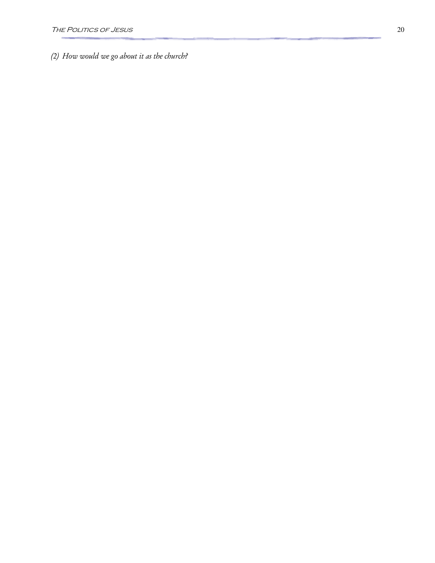(2) How would we go about it as the church?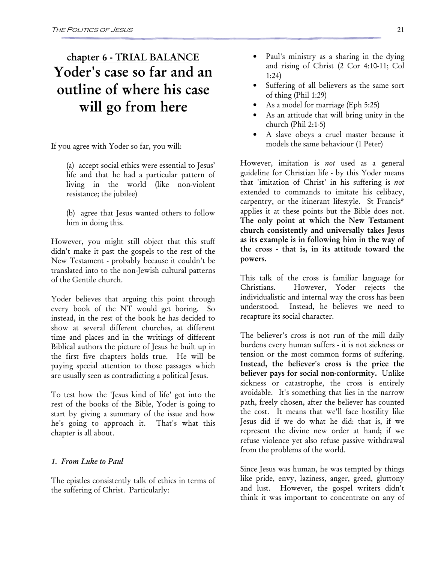# chapter 6 - TRIAL BALANCE Yoder's case so far and an outline of where his case will go from here

If you agree with Yoder so far, you will:

- (a) accept social ethics were essential to Jesus' life and that he had a particular pattern of living in the world (like non-violent resistance; the jubilee)
- (b) agree that Jesus wanted others to follow him in doing this.

However, you might still object that this stuff didn't make it past the gospels to the rest of the New Testament - probably because it couldn't be translated into to the non-Jewish cultural patterns of the Gentile church.

Yoder believes that arguing this point through every book of the NT would get boring. So instead, in the rest of the book he has decided to show at several different churches, at different time and places and in the writings of different Biblical authors the picture of Jesus he built up in the first five chapters holds true. He will be paying special attention to those passages which are usually seen as contradicting a political Jesus.

To test how the 'Jesus kind of life' got into the rest of the books of the Bible, Yoder is going to start by giving a summary of the issue and how he's going to approach it. That's what this chapter is all about.

#### 1. From Luke to Paul

The epistles consistently talk of ethics in terms of the suffering of Christ. Particularly:

- Paul's ministry as a sharing in the dying and rising of Christ (2 Cor 4:10-11; Col 1:24)
- Suffering of all believers as the same sort of thing (Phil 1:29)
- As a model for marriage (Eph 5:25)
- As an attitude that will bring unity in the church (Phil 2:1-5)
- A slave obeys a cruel master because it models the same behaviour (1 Peter)

However, imitation is *not* used as a general guideline for Christian life - by this Yoder means that 'imitation of Christ' in his suffering is not extended to commands to imitate his celibacy, carpentry, or the itinerant lifestyle. St Francis\* applies it at these points but the Bible does not. The only point at which the New Testament church consistently and universally takes Jesus as its example is in following him in the way of the cross - that is, in its attitude toward the powers.

This talk of the cross is familiar language for Christians. However, Yoder rejects the individualistic and internal way the cross has been understood. Instead, he believes we need to recapture its social character.

The believer's cross is not run of the mill daily burdens every human suffers - it is not sickness or tension or the most common forms of suffering. Instead, the believer's cross is the price the believer pays for social non-conformity. Unlike sickness or catastrophe, the cross is entirely avoidable. It's something that lies in the narrow path, freely chosen, after the believer has counted the cost. It means that we'll face hostility like Jesus did if we do what he did: that is, if we represent the divine new order at hand; if we refuse violence yet also refuse passive withdrawal from the problems of the world.

Since Jesus was human, he was tempted by things like pride, envy, laziness, anger, greed, gluttony and lust. However, the gospel writers didn't think it was important to concentrate on any of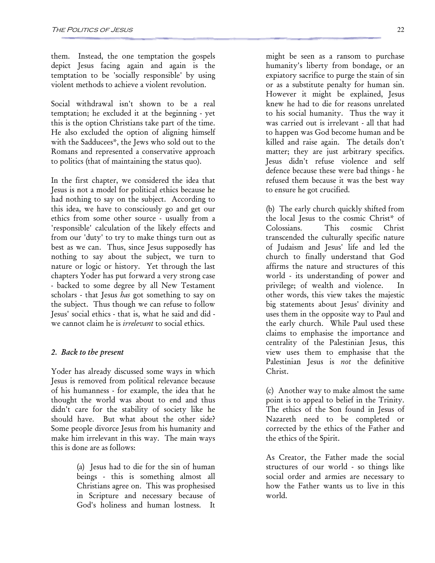them. Instead, the one temptation the gospels depict Jesus facing again and again is the temptation to be 'socially responsible' by using violent methods to achieve a violent revolution.

Social withdrawal isn't shown to be a real temptation; he excluded it at the beginning - yet this is the option Christians take part of the time. He also excluded the option of aligning himself with the Sadducees\*, the Jews who sold out to the Romans and represented a conservative approach to politics (that of maintaining the status quo).

In the first chapter, we considered the idea that Jesus is not a model for political ethics because he had nothing to say on the subject. According to this idea, we have to consciously go and get our ethics from some other source - usually from a 'responsible' calculation of the likely effects and from our 'duty' to try to make things turn out as best as we can. Thus, since Jesus supposedly has nothing to say about the subject, we turn to nature or logic or history. Yet through the last chapters Yoder has put forward a very strong case - backed to some degree by all New Testament scholars - that Jesus *has* got something to say on the subject. Thus though we can refuse to follow Jesus' social ethics - that is, what he said and did we cannot claim he is *irrelevant* to social ethics.

#### 2. Back to the present

Yoder has already discussed some ways in which Jesus is removed from political relevance because of his humanness - for example, the idea that he thought the world was about to end and thus didn't care for the stability of society like he should have. But what about the other side? Some people divorce Jesus from his humanity and make him irrelevant in this way. The main ways this is done are as follows:

> (a) Jesus had to die for the sin of human beings - this is something almost all Christians agree on. This was prophesised in Scripture and necessary because of God's holiness and human lostness.

might be seen as a ransom to purchase humanity's liberty from bondage, or an expiatory sacrifice to purge the stain of sin or as a substitute penalty for human sin. However it might be explained, Jesus knew he had to die for reasons unrelated to his social humanity. Thus the way it was carried out is irrelevant - all that had to happen was God become human and be killed and raise again. The details don't matter; they are just arbitrary specifics. Jesus didn't refuse violence and self defence because these were bad things - he refused them because it was the best way to ensure he got crucified.

(b) The early church quickly shifted from the local Jesus to the cosmic Christ\* of Colossians. This cosmic Christ transcended the culturally specific nature of Judaism and Jesus' life and led the church to finally understand that God affirms the nature and structures of this world - its understanding of power and privilege; of wealth and violence. In other words, this view takes the majestic big statements about Jesus' divinity and uses them in the opposite way to Paul and the early church. While Paul used these claims to emphasise the importance and centrality of the Palestinian Jesus, this view uses them to emphasise that the Palestinian Jesus is *not* the definitive Christ.

(c) Another way to make almost the same point is to appeal to belief in the Trinity. The ethics of the Son found in Jesus of Nazareth need to be completed or corrected by the ethics of the Father and the ethics of the Spirit.

As Creator, the Father made the social structures of our world - so things like social order and armies are necessary to how the Father wants us to live in this world.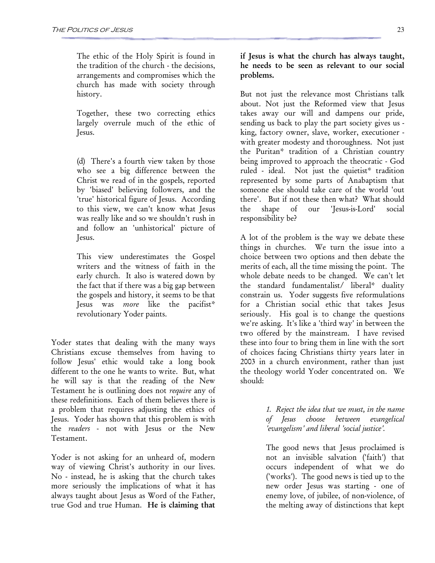The ethic of the Holy Spirit is found in the tradition of the church - the decisions, arrangements and compromises which the church has made with society through history.

Together, these two correcting ethics largely overrule much of the ethic of Jesus.

(d) There's a fourth view taken by those who see a big difference between the Christ we read of in the gospels, reported by 'biased' believing followers, and the 'true' historical figure of Jesus. According to this view, we can't know what Jesus was really like and so we shouldn't rush in and follow an 'unhistorical' picture of Jesus.

This view underestimates the Gospel writers and the witness of faith in the early church. It also is watered down by the fact that if there was a big gap between the gospels and history, it seems to be that Jesus was more like the pacifist\* revolutionary Yoder paints.

Yoder states that dealing with the many ways Christians excuse themselves from having to follow Jesus' ethic would take a long book different to the one he wants to write. But, what he will say is that the reading of the New Testament he is outlining does not require any of these redefinitions. Each of them believes there is a problem that requires adjusting the ethics of Jesus. Yoder has shown that this problem is with the readers - not with Jesus or the New Testament.

Yoder is not asking for an unheard of, modern way of viewing Christ's authority in our lives. No - instead, he is asking that the church takes more seriously the implications of what it has always taught about Jesus as Word of the Father, true God and true Human. He is claiming that if Jesus is what the church has always taught, he needs to be seen as relevant to our social problems.

But not just the relevance most Christians talk about. Not just the Reformed view that Jesus takes away our will and dampens our pride, sending us back to play the part society gives us king, factory owner, slave, worker, executioner with greater modesty and thoroughness. Not just the Puritan\* tradition of a Christian country being improved to approach the theocratic - God ruled - ideal. Not just the quietist\* tradition represented by some parts of Anabaptism that someone else should take care of the world 'out there'. But if not these then what? What should the shape of our 'Jesus-is-Lord' social responsibility be?

A lot of the problem is the way we debate these things in churches. We turn the issue into a choice between two options and then debate the merits of each, all the time missing the point. The whole debate needs to be changed. We can't let the standard fundamentalist/ liberal\* duality constrain us. Yoder suggests five reformulations for a Christian social ethic that takes Jesus seriously. His goal is to change the questions we're asking. It's like a 'third way' in between the two offered by the mainstream. I have revised these into four to bring them in line with the sort of choices facing Christians thirty years later in 2003 in a church environment, rather than just the theology world Yoder concentrated on. We should:

> 1. Reject the idea that we must, in the name of Jesus choose between evangelical 'evangelism' and liberal 'social justice'.

> The good news that Jesus proclaimed is not an invisible salvation ('faith') that occurs independent of what we do ('works'). The good news is tied up to the new order Jesus was starting - one of enemy love, of jubilee, of non-violence, of the melting away of distinctions that kept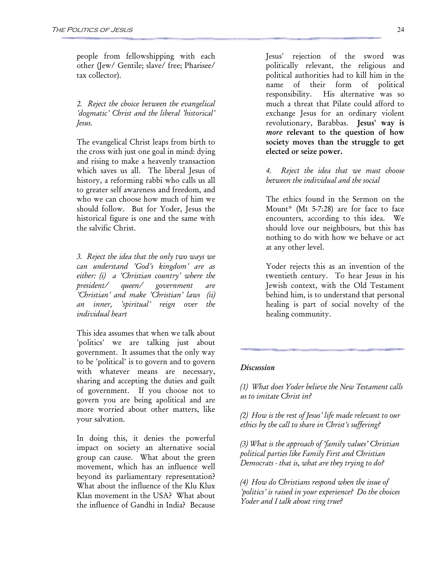people from fellowshipping with each other (Jew/ Gentile; slave/ free; Pharisee/ tax collector).

2. Reject the choice between the evangelical 'dogmatic' Christ and the liberal 'historical' Jesus.

The evangelical Christ leaps from birth to the cross with just one goal in mind: dying and rising to make a heavenly transaction which saves us all. The liberal Jesus of history, a reforming rabbi who calls us all to greater self awareness and freedom, and who we can choose how much of him we should follow. But for Yoder, Jesus the historical figure is one and the same with the salvific Christ.

3. Reject the idea that the only two ways we can understand 'God's kingdom' are as either: (i) a 'Christian country' where the president/ queen/ government are 'Christian' and make 'Christian' laws (ii) an inner, 'spiritual' reign over the individual heart

This idea assumes that when we talk about 'politics' we are talking just about government. It assumes that the only way to be 'political' is to govern and to govern with whatever means are necessary, sharing and accepting the duties and guilt of government. If you choose not to govern you are being apolitical and are more worried about other matters, like your salvation.

In doing this, it denies the powerful impact on society an alternative social group can cause. What about the green movement, which has an influence well beyond its parliamentary representation? What about the influence of the Klu Klux Klan movement in the USA? What about the influence of Gandhi in India? Because

Jesus' rejection of the sword was politically relevant, the religious and political authorities had to kill him in the name of their form of political responsibility. His alternative was so much a threat that Pilate could afford to exchange Jesus for an ordinary violent revolutionary, Barabbas. Jesus' way is more relevant to the question of how society moves than the struggle to get elected or seize power.

Reject the idea that we must choose between the individual and the social

The ethics found in the Sermon on the Mount\* (Mt 5-7:28) are for face to face encounters, according to this idea. We should love our neighbours, but this has nothing to do with how we behave or act at any other level.

Yoder rejects this as an invention of the twentieth century. To hear Jesus in his Jewish context, with the Old Testament behind him, is to understand that personal healing is part of social novelty of the healing community.

#### **Discussion**

(1) What does Yoder believe the New Testament calls us to imitate Christ in?

(2) How is the rest of Jesus' life made relevant to our ethics by the call to share in Christ's suffering?

(3) What is the approach of 'family values' Christian political parties like Family First and Christian Democrats - that is, what are they trying to do?

(4) How do Christians respond when the issue of 'politics' is raised in your experience? Do the choices Yoder and I talk about ring true?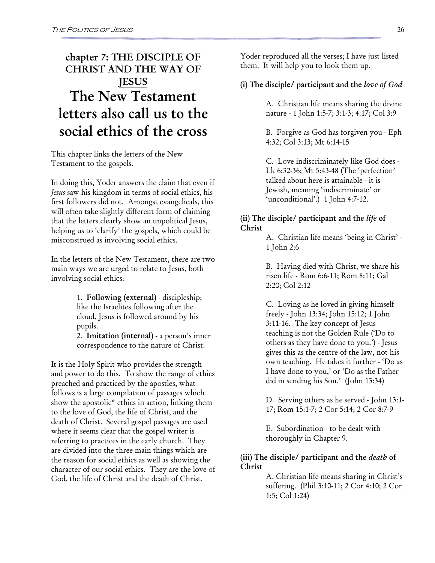### chapter 7: THE DISCIPLE OF CHRIST AND THE WAY OF **JESUS** The New Testament letters also call us to the social ethics of the cross

This chapter links the letters of the New Testament to the gospels.

In doing this, Yoder answers the claim that even if Jesus saw his kingdom in terms of social ethics, his first followers did not. Amongst evangelicals, this will often take slightly different form of claiming that the letters clearly show an unpolitical Jesus, helping us to 'clarify' the gospels, which could be misconstrued as involving social ethics.

In the letters of the New Testament, there are two main ways we are urged to relate to Jesus, both involving social ethics:

> 1. Following (external) - discipleship; like the Israelites following after the cloud, Jesus is followed around by his pupils.

2. Imitation (internal) - a person's inner correspondence to the nature of Christ.

It is the Holy Spirit who provides the strength and power to do this. To show the range of ethics preached and practiced by the apostles, what follows is a large compilation of passages which show the apostolic\* ethics in action, linking them to the love of God, the life of Christ, and the death of Christ. Several gospel passages are used where it seems clear that the gospel writer is referring to practices in the early church. They are divided into the three main things which are the reason for social ethics as well as showing the character of our social ethics. They are the love of God, the life of Christ and the death of Christ.

Yoder reproduced all the verses; I have just listed them. It will help you to look them up.

#### (i) The disciple/ participant and the love of God

A. Christian life means sharing the divine nature - 1 John 1:5-7; 3:1-3; 4:17; Col 3:9

B. Forgive as God has forgiven you - Eph 4:32; Col 3:13; Mt 6:14-15

C. Love indiscriminately like God does - Lk 6:32-36; Mt 5:43-48 (The 'perfection' talked about here is attainable - it is Jewish, meaning 'indiscriminate' or 'unconditional'.) 1 John 4:7-12.

#### (ii) The disciple/ participant and the life of Christ

A. Christian life means 'being in Christ' - 1 John 2:6

B. Having died with Christ, we share his risen life - Rom 6:6-11; Rom 8:11; Gal 2:20; Col 2:12

C. Loving as he loved in giving himself freely - John 13:34; John 15:12; 1 John 3:11-16. The key concept of Jesus teaching is not the Golden Rule ('Do to others as they have done to you.') - Jesus gives this as the centre of the law, not his own teaching. He takes it further - 'Do as I have done to you,' or 'Do as the Father did in sending his Son.' (John 13:34)

D. Serving others as he served - John 13:1- 17; Rom 15:1-7; 2 Cor 5:14; 2 Cor 8:7-9

E. Subordination - to be dealt with thoroughly in Chapter 9.

(iii) The disciple/ participant and the *death* of Christ

> A. Christian life means sharing in Christ's suffering. (Phil 3:10-11; 2 Cor 4:10; 2 Cor 1:5; Col 1:24)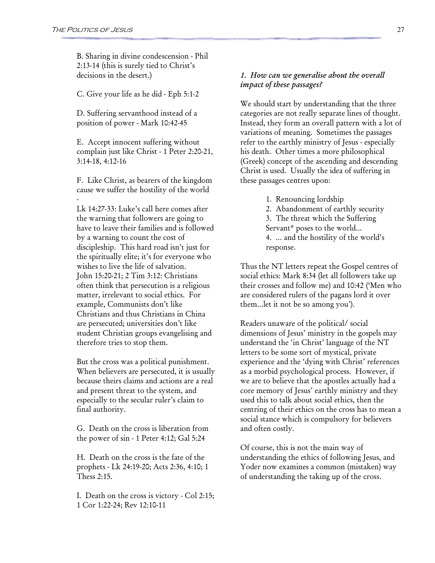B. Sharing in divine condescension - Phil 2:13-14 (this is surely tied to Christ's decisions in the desert.)

C. Give your life as he did - Eph 5:1-2

D. Suffering servanthood instead of a position of power - Mark 10:42-45

E. Accept innocent suffering without complain just like Christ - 1 Peter 2:20-21, 3:14-18, 4:12-16

F. Like Christ, as bearers of the kingdom cause we suffer the hostility of the world -

Lk 14:27-33: Luke's call here comes after the warning that followers are going to have to leave their families and is followed by a warning to count the cost of discipleship. This hard road isn't just for the spiritually elite; it's for everyone who wishes to live the life of salvation. John 15:20-21; 2 Tim 3:12: Christians often think that persecution is a religious matter, irrelevant to social ethics. For example, Communists don't like Christians and thus Christians in China are persecuted; universities don't like student Christian groups evangelising and therefore tries to stop them.

But the cross was a political punishment. When believers are persecuted, it is usually because theirs claims and actions are a real and present threat to the system, and especially to the secular ruler's claim to final authority.

G. Death on the cross is liberation from the power of sin - 1 Peter 4:12; Gal 5:24

H. Death on the cross is the fate of the prophets - Lk 24:19-20; Acts 2:36, 4:10; 1 Thess 2:15.

I. Death on the cross is victory - Col 2:15; 1 Cor 1:22-24; Rev 12:10-11

#### 1. How can we generalise about the overall impact of these passages?

We should start by understanding that the three categories are not really separate lines of thought. Instead, they form an overall pattern with a lot of variations of meaning. Sometimes the passages refer to the earthly ministry of Jesus - especially his death. Other times a more philosophical (Greek) concept of the ascending and descending Christ is used. Usually the idea of suffering in these passages centres upon:

1. Renouncing lordship

2. Abandonment of earthly security 3. The threat which the Suffering Servant\* poses to the world... 4. ... and the hostility of the world's response.

Thus the NT letters repeat the Gospel centres of social ethics: Mark 8:34 (let all followers take up their crosses and follow me) and 10:42 ('Men who are considered rulers of the pagans lord it over them...let it not be so among you').

Readers unaware of the political/ social dimensions of Jesus' ministry in the gospels may understand the 'in Christ' language of the NT letters to be some sort of mystical, private experience and the 'dying with Christ' references as a morbid psychological process. However, if we are to believe that the apostles actually had a core memory of Jesus' earthly ministry and they used this to talk about social ethics, then the centring of their ethics on the cross has to mean a social stance which is compulsory for believers and often costly.

Of course, this is not the main way of understanding the ethics of following Jesus, and Yoder now examines a common (mistaken) way of understanding the taking up of the cross.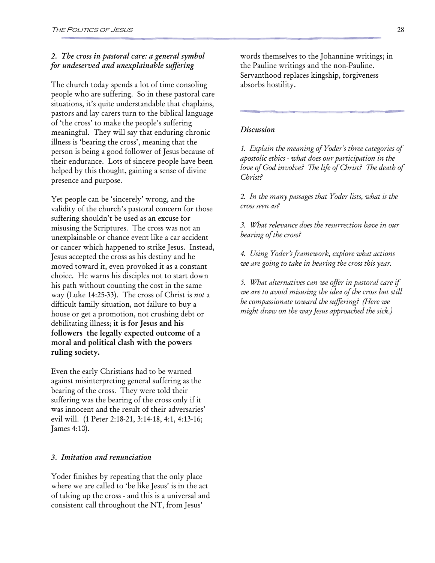#### 2. The cross in pastoral care: a general symbol for undeserved and unexplainable suffering

The church today spends a lot of time consoling people who are suffering. So in these pastoral care situations, it's quite understandable that chaplains, pastors and lay carers turn to the biblical language of 'the cross' to make the people's suffering meaningful. They will say that enduring chronic illness is 'bearing the cross', meaning that the person is being a good follower of Jesus because of their endurance. Lots of sincere people have been helped by this thought, gaining a sense of divine presence and purpose.

Yet people can be 'sincerely' wrong, and the validity of the church's pastoral concern for those suffering shouldn't be used as an excuse for misusing the Scriptures. The cross was not an unexplainable or chance event like a car accident or cancer which happened to strike Jesus. Instead, Jesus accepted the cross as his destiny and he moved toward it, even provoked it as a constant choice. He warns his disciples not to start down his path without counting the cost in the same way (Luke 14:25-33). The cross of Christ is not a difficult family situation, not failure to buy a house or get a promotion, not crushing debt or debilitating illness; it is for Jesus and his followers the legally expected outcome of a moral and political clash with the powers ruling society.

Even the early Christians had to be warned against misinterpreting general suffering as the bearing of the cross. They were told their suffering was the bearing of the cross only if it was innocent and the result of their adversaries' evil will. (1 Peter 2:18-21, 3:14-18, 4:1, 4:13-16; James 4:10).

#### 3. Imitation and renunciation

Yoder finishes by repeating that the only place where we are called to 'be like Jesus' is in the act of taking up the cross - and this is a universal and consistent call throughout the NT, from Jesus'

words themselves to the Johannine writings; in the Pauline writings and the non-Pauline. Servanthood replaces kingship, forgiveness absorbs hostility.

#### **Discussion**

1. Explain the meaning of Yoder's three categories of apostolic ethics - what does our participation in the love of God involve? The life of Christ? The death of Christ?

2. In the many passages that Yoder lists, what is the cross seen as?

3. What relevance does the resurrection have in our bearing of the cross?

4. Using Yoder's framework, explore what actions we are going to take in bearing the cross this year.

5. What alternatives can we offer in pastoral care if we are to avoid misusing the idea of the cross but still be compassionate toward the suffering? (Here we might draw on the way Jesus approached the sick.)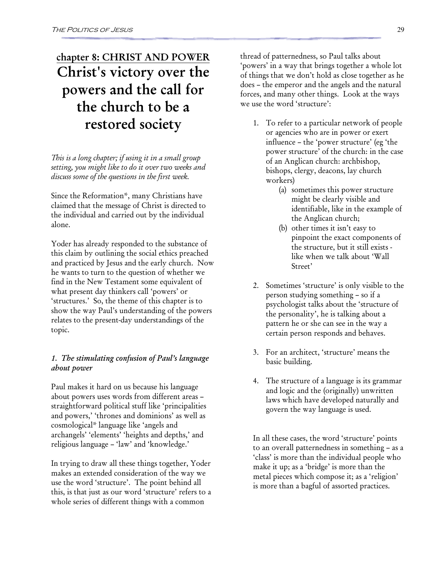# chapter 8: CHRIST AND POWER Christ's victory over the powers and the call for the church to be a restored society

This is a long chapter; if using it in a small group setting, you might like to do it over two weeks and discuss some of the questions in the first week.

Since the Reformation\*, many Christians have claimed that the message of Christ is directed to the individual and carried out by the individual alone.

Yoder has already responded to the substance of this claim by outlining the social ethics preached and practiced by Jesus and the early church. Now he wants to turn to the question of whether we find in the New Testament some equivalent of what present day thinkers call 'powers' or 'structures.' So, the theme of this chapter is to show the way Paul's understanding of the powers relates to the present-day understandings of the topic.

#### 1. The stimulating confusion of Paul's language about power

Paul makes it hard on us because his language about powers uses words from different areas – straightforward political stuff like 'principalities and powers,' 'thrones and dominions' as well as cosmological\* language like 'angels and archangels' 'elements' 'heights and depths,' and religious language – 'law' and 'knowledge.'

In trying to draw all these things together, Yoder makes an extended consideration of the way we use the word 'structure'. The point behind all this, is that just as our word 'structure' refers to a whole series of different things with a common

thread of patternedness, so Paul talks about 'powers' in a way that brings together a whole lot of things that we don't hold as close together as he does – the emperor and the angels and the natural forces, and many other things. Look at the ways we use the word 'structure':

- 1. To refer to a particular network of people or agencies who are in power or exert influence – the 'power structure' (eg 'the power structure' of the church: in the case of an Anglican church: archbishop, bishops, clergy, deacons, lay church workers)
	- (a) sometimes this power structure might be clearly visible and identifiable, like in the example of the Anglican church;
	- (b) other times it isn't easy to pinpoint the exact components of the structure, but it still exists like when we talk about 'Wall Street'
- 2. Sometimes 'structure' is only visible to the person studying something – so if a psychologist talks about the 'structure of the personality', he is talking about a pattern he or she can see in the way a certain person responds and behaves.
- 3. For an architect, 'structure' means the basic building.
- 4. The structure of a language is its grammar and logic and the (originally) unwritten laws which have developed naturally and govern the way language is used.

In all these cases, the word 'structure' points to an overall patternedness in something – as a 'class' is more than the individual people who make it up; as a 'bridge' is more than the metal pieces which compose it; as a 'religion' is more than a bagful of assorted practices.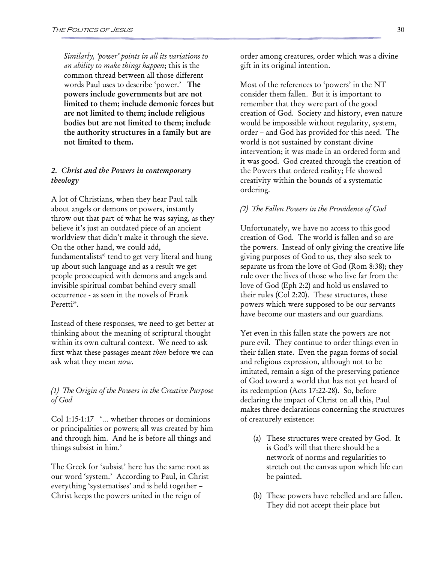Similarly, 'power' points in all its variations to an ability to make things happen; this is the common thread between all those different words Paul uses to describe 'power.' The powers include governments but are not limited to them; include demonic forces but are not limited to them; include religious bodies but are not limited to them; include the authority structures in a family but are not limited to them.

#### 2. Christ and the Powers in contemporary theology

A lot of Christians, when they hear Paul talk about angels or demons or powers, instantly throw out that part of what he was saying, as they believe it's just an outdated piece of an ancient worldview that didn't make it through the sieve. On the other hand, we could add, fundamentalists\* tend to get very literal and hung up about such language and as a result we get people preoccupied with demons and angels and invisible spiritual combat behind every small occurrence - as seen in the novels of Frank Peretti\*.

Instead of these responses, we need to get better at thinking about the meaning of scriptural thought within its own cultural context. We need to ask first what these passages meant then before we can ask what they mean now.

#### (1) The Origin of the Powers in the Creative Purpose of God

Col 1:15-1:17 '… whether thrones or dominions or principalities or powers; all was created by him and through him. And he is before all things and things subsist in him.'

The Greek for 'subsist' here has the same root as our word 'system.' According to Paul, in Christ everything 'systematises' and is held together – Christ keeps the powers united in the reign of

order among creatures, order which was a divine gift in its original intention.

Most of the references to 'powers' in the NT consider them fallen. But it is important to remember that they were part of the good creation of God. Society and history, even nature would be impossible without regularity, system, order – and God has provided for this need. The world is not sustained by constant divine intervention; it was made in an ordered form and it was good. God created through the creation of the Powers that ordered reality; He showed creativity within the bounds of a systematic ordering.

#### (2) The Fallen Powers in the Providence of God

Unfortunately, we have no access to this good creation of God. The world is fallen and so are the powers. Instead of only giving the creative life giving purposes of God to us, they also seek to separate us from the love of God (Rom 8:38); they rule over the lives of those who live far from the love of God (Eph 2:2) and hold us enslaved to their rules (Col 2:20). These structures, these powers which were supposed to be our servants have become our masters and our guardians.

Yet even in this fallen state the powers are not pure evil. They continue to order things even in their fallen state. Even the pagan forms of social and religious expression, although not to be imitated, remain a sign of the preserving patience of God toward a world that has not yet heard of its redemption (Acts 17:22-28). So, before declaring the impact of Christ on all this, Paul makes three declarations concerning the structures of creaturely existence:

- (a) These structures were created by God. It is God's will that there should be a network of norms and regularities to stretch out the canvas upon which life can be painted.
- (b) These powers have rebelled and are fallen. They did not accept their place but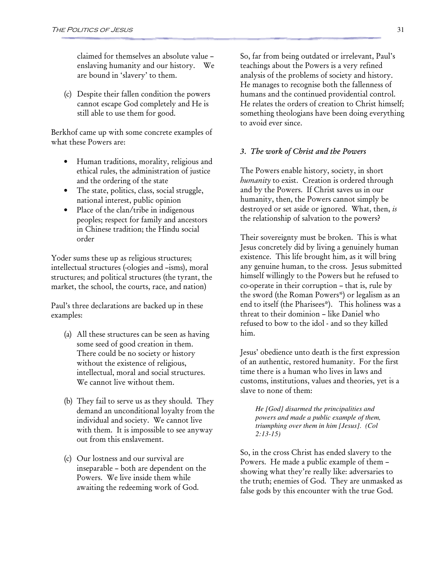claimed for themselves an absolute value – enslaving humanity and our history. We are bound in 'slavery' to them.

(c) Despite their fallen condition the powers cannot escape God completely and He is still able to use them for good.

Berkhof came up with some concrete examples of what these Powers are:

- Human traditions, morality, religious and ethical rules, the administration of justice and the ordering of the state
- The state, politics, class, social struggle, national interest, public opinion
- Place of the clan/tribe in indigenous peoples; respect for family and ancestors in Chinese tradition; the Hindu social order

Yoder sums these up as religious structures; intellectual structures (-ologies and –isms), moral structures; and political structures (the tyrant, the market, the school, the courts, race, and nation)

Paul's three declarations are backed up in these examples:

- (a) All these structures can be seen as having some seed of good creation in them. There could be no society or history without the existence of religious, intellectual, moral and social structures. We cannot live without them.
- (b) They fail to serve us as they should. They demand an unconditional loyalty from the individual and society. We cannot live with them. It is impossible to see anyway out from this enslavement.
- (c) Our lostness and our survival are inseparable – both are dependent on the Powers. We live inside them while awaiting the redeeming work of God.

So, far from being outdated or irrelevant, Paul's teachings about the Powers is a very refined analysis of the problems of society and history. He manages to recognise both the fallenness of humans and the continued providential control. He relates the orders of creation to Christ himself; something theologians have been doing everything to avoid ever since.

#### 3. The work of Christ and the Powers

The Powers enable history, society, in short humanity to exist. Creation is ordered through and by the Powers. If Christ saves us in our humanity, then, the Powers cannot simply be destroyed or set aside or ignored. What, then, is the relationship of salvation to the powers?

Their sovereignty must be broken. This is what Jesus concretely did by living a genuinely human existence. This life brought him, as it will bring any genuine human, to the cross. Jesus submitted himself willingly to the Powers but he refused to co-operate in their corruption – that is, rule by the sword (the Roman Powers\*) or legalism as an end to itself (the Pharisees\*). This holiness was a threat to their dominion – like Daniel who refused to bow to the idol - and so they killed him.

Jesus' obedience unto death is the first expression of an authentic, restored humanity. For the first time there is a human who lives in laws and customs, institutions, values and theories, yet is a slave to none of them:

*He [God] disarmed the principalities and powers and made a public example of them, triumphing over them in him [Jesus]. (Col 2:13-15)* 

So, in the cross Christ has ended slavery to the Powers. He made a public example of them – showing what they're really like: adversaries to the truth; enemies of God. They are unmasked as false gods by this encounter with the true God.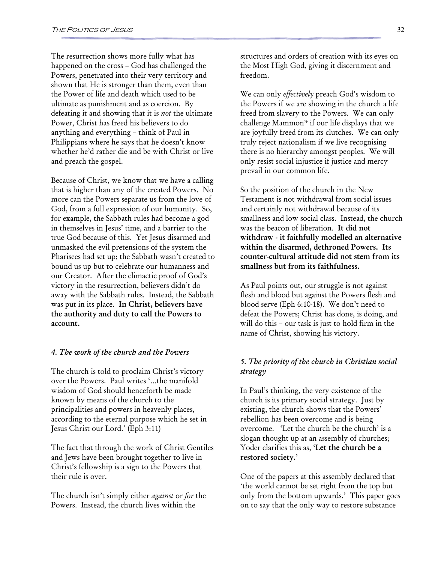The resurrection shows more fully what has happened on the cross – God has challenged the Powers, penetrated into their very territory and shown that He is stronger than them, even than the Power of life and death which used to be ultimate as punishment and as coercion. By defeating it and showing that it is not the ultimate Power, Christ has freed his believers to do anything and everything – think of Paul in Philippians where he says that he doesn't know whether he'd rather die and be with Christ or live and preach the gospel.

Because of Christ, we know that we have a calling that is higher than any of the created Powers. No more can the Powers separate us from the love of God, from a full expression of our humanity. So, for example, the Sabbath rules had become a god in themselves in Jesus' time, and a barrier to the true God because of this. Yet Jesus disarmed and unmasked the evil pretensions of the system the Pharisees had set up; the Sabbath wasn't created to bound us up but to celebrate our humanness and our Creator. After the climactic proof of God's victory in the resurrection, believers didn't do away with the Sabbath rules. Instead, the Sabbath was put in its place. In Christ, believers have the authority and duty to call the Powers to account.

#### 4. The work of the church and the Powers

The church is told to proclaim Christ's victory over the Powers. Paul writes '…the manifold wisdom of God should henceforth be made known by means of the church to the principalities and powers in heavenly places, according to the eternal purpose which he set in Jesus Christ our Lord.' (Eph 3:11)

The fact that through the work of Christ Gentiles and Jews have been brought together to live in Christ's fellowship is a sign to the Powers that their rule is over.

The church isn't simply either *against* or for the Powers. Instead, the church lives within the

structures and orders of creation with its eyes on the Most High God, giving it discernment and freedom.

We can only *effectively* preach God's wisdom to the Powers if we are showing in the church a life freed from slavery to the Powers. We can only challenge Mammon\* if our life displays that we are joyfully freed from its clutches. We can only truly reject nationalism if we live recognising there is no hierarchy amongst peoples. We will only resist social injustice if justice and mercy prevail in our common life.

So the position of the church in the New Testament is not withdrawal from social issues and certainly not withdrawal because of its smallness and low social class. Instead, the church was the beacon of liberation. It did not withdraw - it faithfully modelled an alternative within the disarmed, dethroned Powers. Its counter-cultural attitude did not stem from its smallness but from its faithfulness.

As Paul points out, our struggle is not against flesh and blood but against the Powers flesh and blood serve (Eph 6:10-18). We don't need to defeat the Powers; Christ has done, is doing, and will do this – our task is just to hold firm in the name of Christ, showing his victory.

#### 5. The priority of the church in Christian social strategy

In Paul's thinking, the very existence of the church is its primary social strategy. Just by existing, the church shows that the Powers' rebellion has been overcome and is being overcome. 'Let the church be the church' is a slogan thought up at an assembly of churches; Yoder clarifies this as, 'Let the church be a restored society.'

One of the papers at this assembly declared that 'the world cannot be set right from the top but only from the bottom upwards.' This paper goes on to say that the only way to restore substance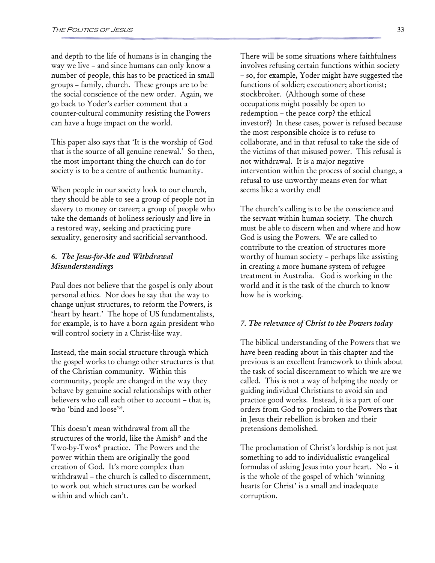and depth to the life of humans is in changing the way we live – and since humans can only know a number of people, this has to be practiced in small groups – family, church. These groups are to be the social conscience of the new order. Again, we go back to Yoder's earlier comment that a counter-cultural community resisting the Powers can have a huge impact on the world.

This paper also says that 'It is the worship of God that is the source of all genuine renewal.' So then, the most important thing the church can do for society is to be a centre of authentic humanity.

When people in our society look to our church, they should be able to see a group of people not in slavery to money or career; a group of people who take the demands of holiness seriously and live in a restored way, seeking and practicing pure sexuality, generosity and sacrificial servanthood.

#### 6. The Jesus-for-Me and Withdrawal Misunderstandings

Paul does not believe that the gospel is only about personal ethics. Nor does he say that the way to change unjust structures, to reform the Powers, is 'heart by heart.' The hope of US fundamentalists, for example, is to have a born again president who will control society in a Christ-like way.

Instead, the main social structure through which the gospel works to change other structures is that of the Christian community. Within this community, people are changed in the way they behave by genuine social relationships with other believers who call each other to account – that is, who 'bind and loose'\*.

This doesn't mean withdrawal from all the structures of the world, like the Amish\* and the Two-by-Twos\* practice. The Powers and the power within them are originally the good creation of God. It's more complex than withdrawal – the church is called to discernment, to work out which structures can be worked within and which can't.

There will be some situations where faithfulness involves refusing certain functions within society – so, for example, Yoder might have suggested the functions of soldier; executioner; abortionist; stockbroker. (Although some of these occupations might possibly be open to redemption – the peace corp? the ethical investor?) In these cases, power is refused because the most responsible choice is to refuse to collaborate, and in that refusal to take the side of the victims of that misused power. This refusal is not withdrawal. It is a major negative intervention within the process of social change, a refusal to use unworthy means even for what seems like a worthy end!

The church's calling is to be the conscience and the servant within human society. The church must be able to discern when and where and how God is using the Powers. We are called to contribute to the creation of structures more worthy of human society – perhaps like assisting in creating a more humane system of refugee treatment in Australia. God is working in the world and it is the task of the church to know how he is working.

#### 7. The relevance of Christ to the Powers today

The biblical understanding of the Powers that we have been reading about in this chapter and the previous is an excellent framework to think about the task of social discernment to which we are we called. This is not a way of helping the needy or guiding individual Christians to avoid sin and practice good works. Instead, it is a part of our orders from God to proclaim to the Powers that in Jesus their rebellion is broken and their pretensions demolished.

The proclamation of Christ's lordship is not just something to add to individualistic evangelical formulas of asking Jesus into your heart. No – it is the whole of the gospel of which 'winning hearts for Christ' is a small and inadequate corruption.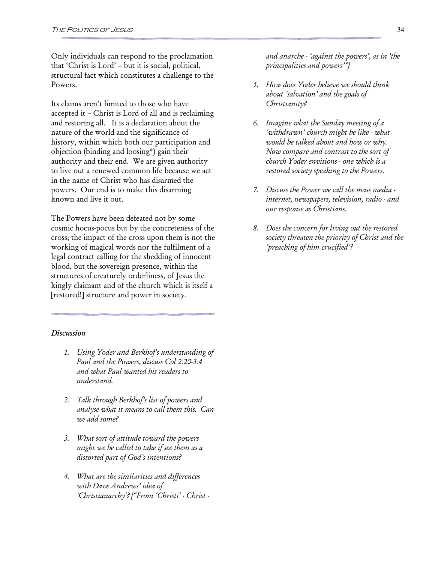Only individuals can respond to the proclamation that 'Christ is Lord' – but it is social, political, structural fact which constitutes a challenge to the Powers.

Its claims aren't limited to those who have accepted it – Christ is Lord of all and is reclaiming and restoring all. It is a declaration about the nature of the world and the significance of history, within which both our participation and objection (binding and loosing\*) gain their authority and their end. We are given authority to live out a renewed common life because we act in the name of Christ who has disarmed the powers. Our end is to make this disarming known and live it out.

The Powers have been defeated not by some cosmic hocus-pocus but by the concreteness of the cross; the impact of the cross upon them is not the working of magical words nor the fulfilment of a legal contract calling for the shedding of innocent blood, but the sovereign presence, within the structures of creaturely orderliness, of Jesus the kingly claimant and of the church which is itself a [restored!] structure and power in society.

#### **Discussion**

- 1. Using Yoder and Berkhof's understanding of Paul and the Powers, discuss Col 2:20-3:4 and what Paul wanted his readers to understand.
- 2. Talk through Berkhof's list of powers and analyse what it means to call them this. Can we add some?
- 3. What sort of attitude toward the powers might we be called to take if see them as a distorted part of God's intentions?
- 4. What are the similarities and differences with Dave Andrews' idea of 'Christianarchy'? ["From 'Christi' - Christ -

and anarche - 'against the powers', as in 'the principalities and powers'"]

- 5. How does Yoder believe we should think about 'salvation' and the goals of Christianity?
- 6. Imagine what the Sunday meeting of a 'withdrawn' church might be like - what would be talked about and how or why. Now compare and contrast to the sort of church Yoder envisions - one which is a restored society speaking to the Powers.
- 7. Discuss the Power we call the mass media internet, newspapers, television, radio - and our response as Christians.
- 8. Does the concern for living out the restored society threaten the priority of Christ and the 'preaching of him crucified'?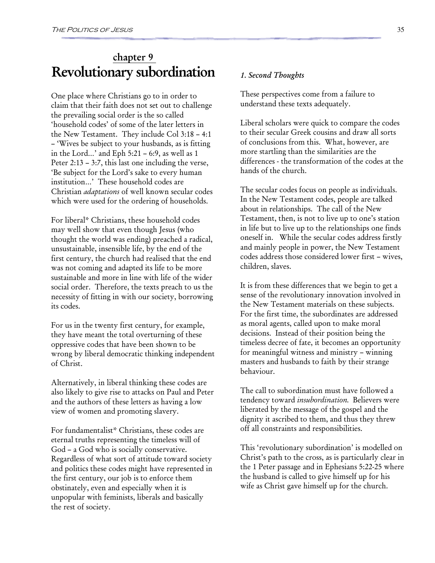### chapter 9 Revolutionary subordination

One place where Christians go to in order to claim that their faith does not set out to challenge the prevailing social order is the so called 'household codes' of some of the later letters in the New Testament. They include Col 3:18 – 4:1 – 'Wives be subject to your husbands, as is fitting in the Lord…' and Eph 5:21 – 6:9, as well as 1 Peter 2:13 – 3:7, this last one including the verse, 'Be subject for the Lord's sake to every human institution…' These household codes are Christian adaptations of well known secular codes which were used for the ordering of households.

For liberal\* Christians, these household codes may well show that even though Jesus (who thought the world was ending) preached a radical, unsustainable, insensible life, by the end of the first century, the church had realised that the end was not coming and adapted its life to be more sustainable and more in line with life of the wider social order. Therefore, the texts preach to us the necessity of fitting in with our society, borrowing its codes.

For us in the twenty first century, for example, they have meant the total overturning of these oppressive codes that have been shown to be wrong by liberal democratic thinking independent of Christ.

Alternatively, in liberal thinking these codes are also likely to give rise to attacks on Paul and Peter and the authors of these letters as having a low view of women and promoting slavery.

For fundamentalist\* Christians, these codes are eternal truths representing the timeless will of God – a God who is socially conservative. Regardless of what sort of attitude toward society and politics these codes might have represented in the first century, our job is to enforce them obstinately, even and especially when it is unpopular with feminists, liberals and basically the rest of society.

#### 1. Second Thoughts

These perspectives come from a failure to understand these texts adequately.

Liberal scholars were quick to compare the codes to their secular Greek cousins and draw all sorts of conclusions from this. What, however, are more startling than the similarities are the differences - the transformation of the codes at the hands of the church.

The secular codes focus on people as individuals. In the New Testament codes, people are talked about in relationships. The call of the New Testament, then, is not to live up to one's station in life but to live up to the relationships one finds oneself in. While the secular codes address firstly and mainly people in power, the New Testament codes address those considered lower first – wives, children, slaves.

It is from these differences that we begin to get a sense of the revolutionary innovation involved in the New Testament materials on these subjects. For the first time, the subordinates are addressed as moral agents, called upon to make moral decisions. Instead of their position being the timeless decree of fate, it becomes an opportunity for meaningful witness and ministry – winning masters and husbands to faith by their strange behaviour.

The call to subordination must have followed a tendency toward insubordination. Believers were liberated by the message of the gospel and the dignity it ascribed to them, and thus they threw off all constraints and responsibilities.

This 'revolutionary subordination' is modelled on Christ's path to the cross, as is particularly clear in the 1 Peter passage and in Ephesians 5:22-25 where the husband is called to give himself up for his wife as Christ gave himself up for the church.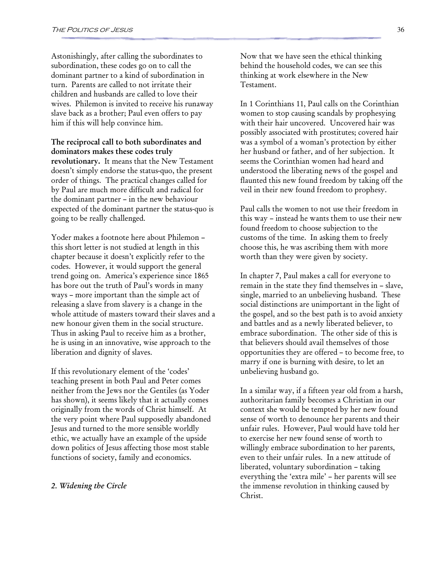Astonishingly, after calling the subordinates to subordination, these codes go on to call the dominant partner to a kind of subordination in turn. Parents are called to not irritate their children and husbands are called to love their wives. Philemon is invited to receive his runaway slave back as a brother; Paul even offers to pay him if this will help convince him.

The reciprocal call to both subordinates and dominators makes these codes truly revolutionary. It means that the New Testament doesn't simply endorse the status-quo, the present order of things. The practical changes called for by Paul are much more difficult and radical for the dominant partner – in the new behaviour expected of the dominant partner the status-quo is going to be really challenged.

Yoder makes a footnote here about Philemon – this short letter is not studied at length in this chapter because it doesn't explicitly refer to the codes. However, it would support the general trend going on. America's experience since 1865 has bore out the truth of Paul's words in many ways – more important than the simple act of releasing a slave from slavery is a change in the whole attitude of masters toward their slaves and a new honour given them in the social structure. Thus in asking Paul to receive him as a brother, he is using in an innovative, wise approach to the liberation and dignity of slaves.

If this revolutionary element of the 'codes' teaching present in both Paul and Peter comes neither from the Jews nor the Gentiles (as Yoder has shown), it seems likely that it actually comes originally from the words of Christ himself. At the very point where Paul supposedly abandoned Jesus and turned to the more sensible worldly ethic, we actually have an example of the upside down politics of Jesus affecting those most stable functions of society, family and economics.

#### 2. Widening the Circle

Now that we have seen the ethical thinking behind the household codes, we can see this thinking at work elsewhere in the New Testament.

In 1 Corinthians 11, Paul calls on the Corinthian women to stop causing scandals by prophesying with their hair uncovered. Uncovered hair was possibly associated with prostitutes; covered hair was a symbol of a woman's protection by either her husband or father, and of her subjection. It seems the Corinthian women had heard and understood the liberating news of the gospel and flaunted this new found freedom by taking off the veil in their new found freedom to prophesy.

Paul calls the women to not use their freedom in this way – instead he wants them to use their new found freedom to choose subjection to the customs of the time. In asking them to freely choose this, he was ascribing them with more worth than they were given by society.

In chapter 7, Paul makes a call for everyone to remain in the state they find themselves in – slave, single, married to an unbelieving husband. These social distinctions are unimportant in the light of the gospel, and so the best path is to avoid anxiety and battles and as a newly liberated believer, to embrace subordination. The other side of this is that believers should avail themselves of those opportunities they are offered – to become free, to marry if one is burning with desire, to let an unbelieving husband go.

In a similar way, if a fifteen year old from a harsh, authoritarian family becomes a Christian in our context she would be tempted by her new found sense of worth to denounce her parents and their unfair rules. However, Paul would have told her to exercise her new found sense of worth to willingly embrace subordination to her parents, even to their unfair rules. In a new attitude of liberated, voluntary subordination – taking everything the 'extra mile' – her parents will see the immense revolution in thinking caused by Christ.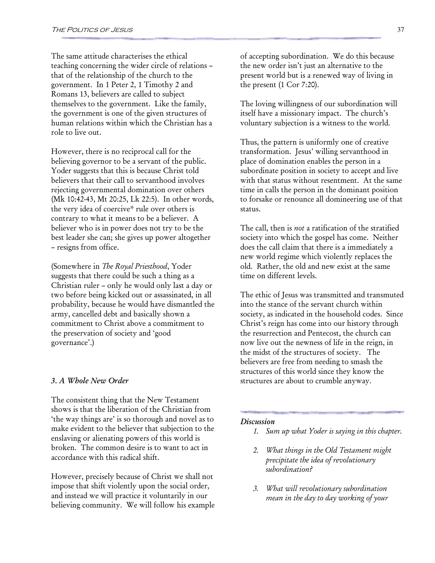The same attitude characterises the ethical teaching concerning the wider circle of relations – that of the relationship of the church to the government. In 1 Peter 2, 1 Timothy 2 and Romans 13, believers are called to subject themselves to the government. Like the family, the government is one of the given structures of human relations within which the Christian has a role to live out.

However, there is no reciprocal call for the believing governor to be a servant of the public. Yoder suggests that this is because Christ told believers that their call to servanthood involves rejecting governmental domination over others (Mk 10:42-43, Mt 20:25, Lk 22:5). In other words, the very idea of coercive\* rule over others is contrary to what it means to be a believer. A believer who is in power does not try to be the best leader she can; she gives up power altogether – resigns from office.

(Somewhere in The Royal Priesthood, Yoder suggests that there could be such a thing as a Christian ruler – only he would only last a day or two before being kicked out or assassinated, in all probability, because he would have dismantled the army, cancelled debt and basically shown a commitment to Christ above a commitment to the preservation of society and 'good governance'.)

#### 3. A Whole New Order

The consistent thing that the New Testament shows is that the liberation of the Christian from 'the way things are' is so thorough and novel as to make evident to the believer that subjection to the enslaving or alienating powers of this world is broken. The common desire is to want to act in accordance with this radical shift.

However, precisely because of Christ we shall not impose that shift violently upon the social order, and instead we will practice it voluntarily in our believing community. We will follow his example of accepting subordination. We do this because the new order isn't just an alternative to the present world but is a renewed way of living in the present (1 Cor 7:20).

The loving willingness of our subordination will itself have a missionary impact. The church's voluntary subjection is a witness to the world.

Thus, the pattern is uniformly one of creative transformation. Jesus' willing servanthood in place of domination enables the person in a subordinate position in society to accept and live with that status without resentment. At the same time in calls the person in the dominant position to forsake or renounce all domineering use of that status.

The call, then is *not* a ratification of the stratified society into which the gospel has come. Neither does the call claim that there is a immediately a new world regime which violently replaces the old. Rather, the old and new exist at the same time on different levels.

The ethic of Jesus was transmitted and transmuted into the stance of the servant church within society, as indicated in the household codes. Since Christ's reign has come into our history through the resurrection and Pentecost, the church can now live out the newness of life in the reign, in the midst of the structures of society. The believers are free from needing to smash the structures of this world since they know the structures are about to crumble anyway.

#### Discussion

- 1. Sum up what Yoder is saying in this chapter.
- 2. What things in the Old Testament might precipitate the idea of revolutionary subordination?
- 3. What will revolutionary subordination mean in the day to day working of your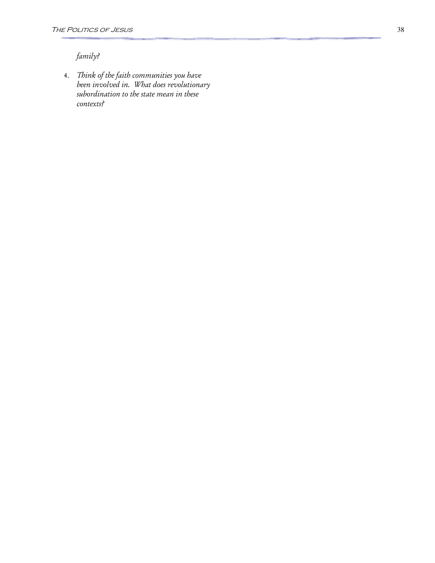### family?

4. Think of the faith communities you have been involved in. What does revolutionary subordination to the state mean in these contexts?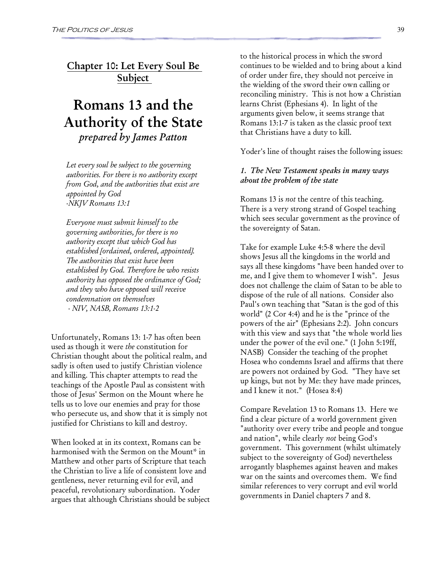Chapter 10: Let Every Soul Be Subject

### Romans 13 and the Authority of the State prepared by James Patton

Let every soul be subject to the governing authorities. For there is no authority except from God, and the authorities that exist are appointed by God -NKJV Romans 13:1

Everyone must submit himself to the governing authorities, for there is no authority except that which God has established [ordained, ordered, appointed]. The authorities that exist have been established by God. Therefore he who resists authority has opposed the ordinance of God; and they who have opposed will receive condemnation on themselves - NIV, NASB, Romans 13:1-2

Unfortunately, Romans 13: 1-7 has often been used as though it were the constitution for Christian thought about the political realm, and sadly is often used to justify Christian violence and killing. This chapter attempts to read the teachings of the Apostle Paul as consistent with those of Jesus' Sermon on the Mount where he tells us to love our enemies and pray for those who persecute us, and show that it is simply not justified for Christians to kill and destroy.

When looked at in its context, Romans can be harmonised with the Sermon on the Mount\* in Matthew and other parts of Scripture that teach the Christian to live a life of consistent love and gentleness, never returning evil for evil, and peaceful, revolutionary subordination. Yoder argues that although Christians should be subject to the historical process in which the sword continues to be wielded and to bring about a kind of order under fire, they should not perceive in the wielding of the sword their own calling or reconciling ministry. This is not how a Christian learns Christ (Ephesians 4). In light of the arguments given below, it seems strange that Romans 13:1-7 is taken as the classic proof text that Christians have a duty to kill.

Yoder's line of thought raises the following issues:

#### 1. The New Testament speaks in many ways about the problem of the state

Romans 13 is not the centre of this teaching. There is a very strong strand of Gospel teaching which sees secular government as the province of the sovereignty of Satan.

Take for example Luke 4:5-8 where the devil shows Jesus all the kingdoms in the world and says all these kingdoms "have been handed over to me, and I give them to whomever I wish". Jesus does not challenge the claim of Satan to be able to dispose of the rule of all nations. Consider also Paul's own teaching that "Satan is the god of this world" (2 Cor 4:4) and he is the "prince of the powers of the air" (Ephesians 2:2). John concurs with this view and says that "the whole world lies under the power of the evil one." (1 John 5:19ff, NASB) Consider the teaching of the prophet Hosea who condemns Israel and affirms that there are powers not ordained by God. "They have set up kings, but not by Me: they have made princes, and I knew it not." (Hosea 8:4)

Compare Revelation 13 to Romans 13. Here we find a clear picture of a world government given "authority over every tribe and people and tongue and nation", while clearly not being God's government. This government (whilst ultimately subject to the sovereignty of God) nevertheless arrogantly blasphemes against heaven and makes war on the saints and overcomes them. We find similar references to very corrupt and evil world governments in Daniel chapters 7 and 8.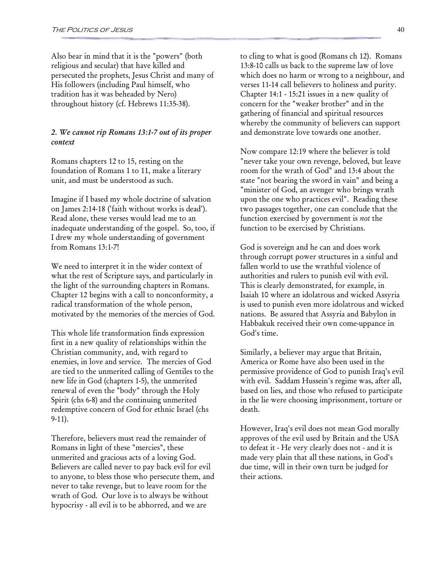Also bear in mind that it is the "powers" (both religious and secular) that have killed and persecuted the prophets, Jesus Christ and many of His followers (including Paul himself, who tradition has it was beheaded by Nero) throughout history (cf. Hebrews 11:35-38).

#### 2. We cannot rip Romans 13:1-7 out of its proper context

Romans chapters 12 to 15, resting on the foundation of Romans 1 to 11, make a literary unit, and must be understood as such.

Imagine if I based my whole doctrine of salvation on James 2:14-18 ('faith without works is dead'). Read alone, these verses would lead me to an inadequate understanding of the gospel. So, too, if I drew my whole understanding of government from Romans 13:1-7!

We need to interpret it in the wider context of what the rest of Scripture says, and particularly in the light of the surrounding chapters in Romans. Chapter 12 begins with a call to nonconformity, a radical transformation of the whole person, motivated by the memories of the mercies of God.

This whole life transformation finds expression first in a new quality of relationships within the Christian community, and, with regard to enemies, in love and service. The mercies of God are tied to the unmerited calling of Gentiles to the new life in God (chapters 1-5), the unmerited renewal of even the "body" through the Holy Spirit (chs 6-8) and the continuing unmerited redemptive concern of God for ethnic Israel (chs 9-11).

Therefore, believers must read the remainder of Romans in light of these "mercies", these unmerited and gracious acts of a loving God. Believers are called never to pay back evil for evil to anyone, to bless those who persecute them, and never to take revenge, but to leave room for the wrath of God. Our love is to always be without hypocrisy - all evil is to be abhorred, and we are

to cling to what is good (Romans ch 12). Romans 13:8-10 calls us back to the supreme law of love which does no harm or wrong to a neighbour, and verses 11-14 call believers to holiness and purity. Chapter 14:1 - 15:21 issues in a new quality of concern for the "weaker brother" and in the gathering of financial and spiritual resources whereby the community of believers can support and demonstrate love towards one another.

Now compare 12:19 where the believer is told "never take your own revenge, beloved, but leave room for the wrath of God" and 13:4 about the state "not bearing the sword in vain" and being a "minister of God, an avenger who brings wrath upon the one who practices evil". Reading these two passages together, one can conclude that the function exercised by government is not the function to be exercised by Christians.

God is sovereign and he can and does work through corrupt power structures in a sinful and fallen world to use the wrathful violence of authorities and rulers to punish evil with evil. This is clearly demonstrated, for example, in Isaiah 10 where an idolatrous and wicked Assyria is used to punish even more idolatrous and wicked nations. Be assured that Assyria and Babylon in Habbakuk received their own come-uppance in God's time.

Similarly, a believer may argue that Britain, America or Rome have also been used in the permissive providence of God to punish Iraq's evil with evil. Saddam Hussein's regime was, after all, based on lies, and those who refused to participate in the lie were choosing imprisonment, torture or death.

However, Iraq's evil does not mean God morally approves of the evil used by Britain and the USA to defeat it - He very clearly does not - and it is made very plain that all these nations, in God's due time, will in their own turn be judged for their actions.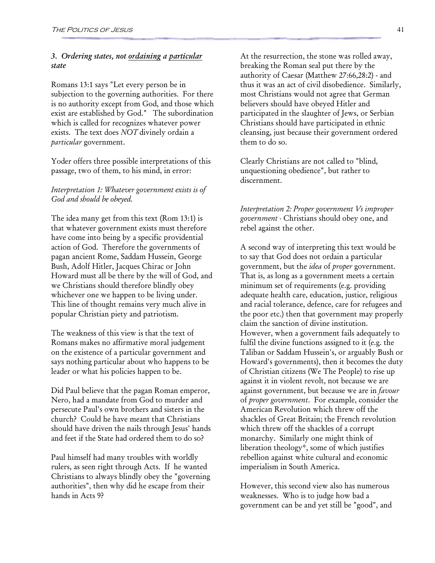#### 3. Ordering states, not ordaining a particular state

Romans 13:1 says "Let every person be in subjection to the governing authorities. For there is no authority except from God, and those which exist are established by God." The subordination which is called for recognizes whatever power exists. The text does NOT divinely ordain a particular government.

Yoder offers three possible interpretations of this passage, two of them, to his mind, in error:

#### Interpretation 1: Whatever government exists is of God and should be obeyed.

The idea many get from this text (Rom 13:1) is that whatever government exists must therefore have come into being by a specific providential action of God. Therefore the governments of pagan ancient Rome, Saddam Hussein, George Bush, Adolf Hitler, Jacques Chirac or John Howard must all be there by the will of God, and we Christians should therefore blindly obey whichever one we happen to be living under. This line of thought remains very much alive in popular Christian piety and patriotism.

The weakness of this view is that the text of Romans makes no affirmative moral judgement on the existence of a particular government and says nothing particular about who happens to be leader or what his policies happen to be.

Did Paul believe that the pagan Roman emperor, Nero, had a mandate from God to murder and persecute Paul's own brothers and sisters in the church? Could he have meant that Christians should have driven the nails through Jesus' hands and feet if the State had ordered them to do so?

Paul himself had many troubles with worldly rulers, as seen right through Acts. If he wanted Christians to always blindly obey the "governing authorities", then why did he escape from their hands in Acts 9?

At the resurrection, the stone was rolled away, breaking the Roman seal put there by the authority of Caesar (Matthew 27:66,28:2) - and thus it was an act of civil disobedience. Similarly, most Christians would not agree that German believers should have obeyed Hitler and participated in the slaughter of Jews, or Serbian Christians should have participated in ethnic cleansing, just because their government ordered them to do so.

Clearly Christians are not called to "blind, unquestioning obedience", but rather to discernment.

Interpretation 2: Proper government Vs improper government - Christians should obey one, and rebel against the other.

A second way of interpreting this text would be to say that God does not ordain a particular government, but the *idea* of *proper* government. That is, as long as a government meets a certain minimum set of requirements (e.g. providing adequate health care, education, justice, religious and racial tolerance, defence, care for refugees and the poor etc.) then that government may properly claim the sanction of divine institution. However, when a government fails adequately to fulfil the divine functions assigned to it (e.g. the Taliban or Saddam Hussein's, or arguably Bush or Howard's governments), then it becomes the duty of Christian citizens (We The People) to rise up against it in violent revolt, not because we are against government, but because we are in favour of proper government. For example, consider the American Revolution which threw off the shackles of Great Britain; the French revolution which threw off the shackles of a corrupt monarchy. Similarly one might think of liberation theology\*, some of which justifies rebellion against white cultural and economic imperialism in South America.

However, this second view also has numerous weaknesses. Who is to judge how bad a government can be and yet still be "good", and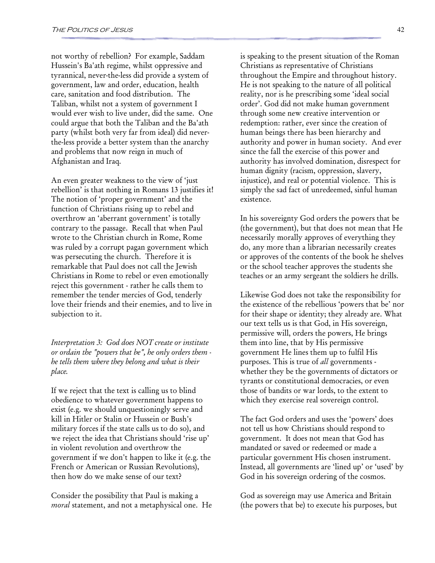not worthy of rebellion? For example, Saddam Hussein's Ba'ath regime, whilst oppressive and tyrannical, never-the-less did provide a system of government, law and order, education, health care, sanitation and food distribution. The Taliban, whilst not a system of government I would ever wish to live under, did the same. One could argue that both the Taliban and the Ba'ath party (whilst both very far from ideal) did neverthe-less provide a better system than the anarchy and problems that now reign in much of Afghanistan and Iraq.

An even greater weakness to the view of 'just rebellion' is that nothing in Romans 13 justifies it! The notion of 'proper government' and the function of Christians rising up to rebel and overthrow an 'aberrant government' is totally contrary to the passage. Recall that when Paul wrote to the Christian church in Rome, Rome was ruled by a corrupt pagan government which was persecuting the church. Therefore it is remarkable that Paul does not call the Jewish Christians in Rome to rebel or even emotionally reject this government - rather he calls them to remember the tender mercies of God, tenderly love their friends and their enemies, and to live in subjection to it.

Interpretation 3: God does NOT create or institute or ordain the "powers that be", he only orders them he tells them where they belong and what is their place.

If we reject that the text is calling us to blind obedience to whatever government happens to exist (e.g. we should unquestioningly serve and kill in Hitler or Stalin or Hussein or Bush's military forces if the state calls us to do so), and we reject the idea that Christians should 'rise up' in violent revolution and overthrow the government if we don't happen to like it (e.g. the French or American or Russian Revolutions), then how do we make sense of our text?

Consider the possibility that Paul is making a moral statement, and not a metaphysical one. He is speaking to the present situation of the Roman Christians as representative of Christians throughout the Empire and throughout history. He is not speaking to the nature of all political reality, nor is he prescribing some 'ideal social order'. God did not make human government through some new creative intervention or redemption: rather, ever since the creation of human beings there has been hierarchy and authority and power in human society. And ever since the fall the exercise of this power and authority has involved domination, disrespect for human dignity (racism, oppression, slavery, injustice), and real or potential violence. This is simply the sad fact of unredeemed, sinful human existence.

In his sovereignty God orders the powers that be (the government), but that does not mean that He necessarily morally approves of everything they do, any more than a librarian necessarily creates or approves of the contents of the book he shelves or the school teacher approves the students she teaches or an army sergeant the soldiers he drills.

Likewise God does not take the responsibility for the existence of the rebellious 'powers that be' nor for their shape or identity; they already are. What our text tells us is that God, in His sovereign, permissive will, orders the powers, He brings them into line, that by His permissive government He lines them up to fulfil His purposes. This is true of all governments whether they be the governments of dictators or tyrants or constitutional democracies, or even those of bandits or war lords, to the extent to which they exercise real sovereign control.

The fact God orders and uses the 'powers' does not tell us how Christians should respond to government. It does not mean that God has mandated or saved or redeemed or made a particular government His chosen instrument. Instead, all governments are 'lined up' or 'used' by God in his sovereign ordering of the cosmos.

God as sovereign may use America and Britain (the powers that be) to execute his purposes, but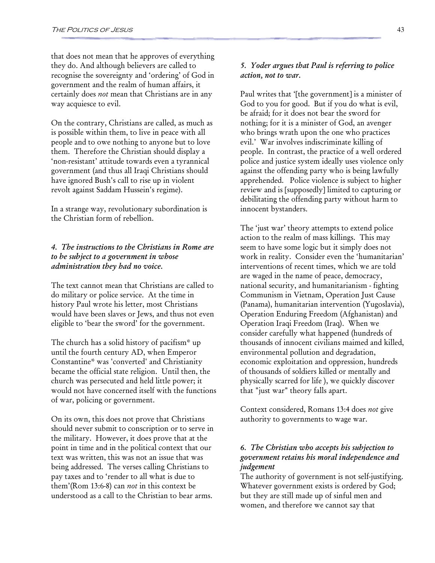that does not mean that he approves of everything they do. And although believers are called to recognise the sovereignty and 'ordering' of God in government and the realm of human affairs, it certainly does not mean that Christians are in any way acquiesce to evil.

On the contrary, Christians are called, as much as is possible within them, to live in peace with all people and to owe nothing to anyone but to love them. Therefore the Christian should display a 'non-resistant' attitude towards even a tyrannical government (and thus all Iraqi Christians should have ignored Bush's call to rise up in violent revolt against Saddam Hussein's regime).

In a strange way, revolutionary subordination is the Christian form of rebellion.

#### 4. The instructions to the Christians in Rome are to be subject to a government in whose administration they had no voice.

The text cannot mean that Christians are called to do military or police service. At the time in history Paul wrote his letter, most Christians would have been slaves or Jews, and thus not even eligible to 'bear the sword' for the government.

The church has a solid history of pacifism\* up until the fourth century AD, when Emperor Constantine\* was 'converted' and Christianity became the official state religion. Until then, the church was persecuted and held little power; it would not have concerned itself with the functions of war, policing or government.

On its own, this does not prove that Christians should never submit to conscription or to serve in the military. However, it does prove that at the point in time and in the political context that our text was written, this was not an issue that was being addressed. The verses calling Christians to pay taxes and to 'render to all what is due to them'(Rom 13:6-8) can not in this context be understood as a call to the Christian to bear arms.

#### 5. Yoder argues that Paul is referring to police action, not to war.

Paul writes that '[the government] is a minister of God to you for good. But if you do what is evil, be afraid; for it does not bear the sword for nothing; for it is a minister of God, an avenger who brings wrath upon the one who practices evil.' War involves indiscriminate killing of people. In contrast, the practice of a well ordered police and justice system ideally uses violence only against the offending party who is being lawfully apprehended. Police violence is subject to higher review and is [supposedly] limited to capturing or debilitating the offending party without harm to innocent bystanders.

The 'just war' theory attempts to extend police action to the realm of mass killings. This may seem to have some logic but it simply does not work in reality. Consider even the 'humanitarian' interventions of recent times, which we are told are waged in the name of peace, democracy, national security, and humanitarianism - fighting Communism in Vietnam, Operation Just Cause (Panama), humanitarian intervention (Yugoslavia), Operation Enduring Freedom (Afghanistan) and Operation Iraqi Freedom (Iraq). When we consider carefully what happened (hundreds of thousands of innocent civilians maimed and killed, environmental pollution and degradation, economic exploitation and oppression, hundreds of thousands of soldiers killed or mentally and physically scarred for life ), we quickly discover that "just war" theory falls apart.

Context considered, Romans 13:4 does not give authority to governments to wage war.

#### 6. The Christian who accepts his subjection to government retains his moral independence and judgement

The authority of government is not self-justifying. Whatever government exists is ordered by God; but they are still made up of sinful men and women, and therefore we cannot say that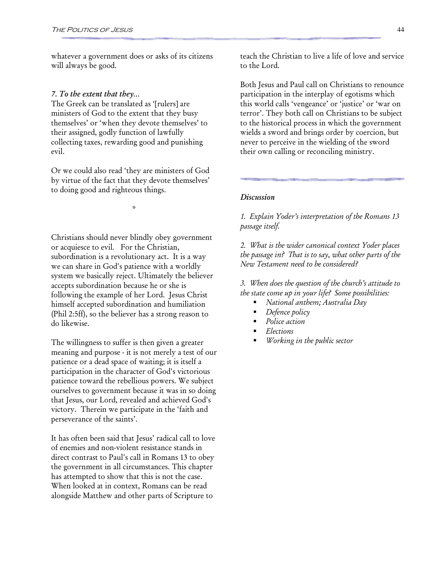whatever a government does or asks of its citizens will always be good.

#### 7. To the extent that they…

The Greek can be translated as '[rulers] are ministers of God to the extent that they busy themselves' or 'when they devote themselves' to their assigned, godly function of lawfully collecting taxes, rewarding good and punishing evil.

Or we could also read 'they are ministers of God by virtue of the fact that they devote themselves' to doing good and righteous things.

\*

Christians should never blindly obey government or acquiesce to evil. For the Christian, subordination is a revolutionary act. It is a way we can share in God's patience with a worldly system we basically reject. Ultimately the believer accepts subordination because he or she is following the example of her Lord. Jesus Christ himself accepted subordination and humiliation (Phil 2:5ff), so the believer has a strong reason to do likewise.

The willingness to suffer is then given a greater meaning and purpose - it is not merely a test of our patience or a dead space of waiting; it is itself a participation in the character of God's victorious patience toward the rebellious powers. We subject ourselves to government because it was in so doing that Jesus, our Lord, revealed and achieved God's victory. Therein we participate in the 'faith and perseverance of the saints'.

It has often been said that Jesus' radical call to love of enemies and non-violent resistance stands in direct contrast to Paul's call in Romans 13 to obey the government in all circumstances. This chapter has attempted to show that this is not the case. When looked at in context, Romans can be read alongside Matthew and other parts of Scripture to

teach the Christian to live a life of love and service to the Lord.

Both Jesus and Paul call on Christians to renounce participation in the interplay of egotisms which this world calls 'vengeance' or 'justice' or 'war on terror'. They both call on Christians to be subject to the historical process in which the government wields a sword and brings order by coercion, but never to perceive in the wielding of the sword their own calling or reconciling ministry.

#### **Discussion**

1. Explain Yoder's interpretation of the Romans 13 passage itself.

2. What is the wider canonical context Yoder places the passage in? That is to say, what other parts of the New Testament need to be considered?

3. When does the question of the church's attitude to the state come up in your life? Some possibilities:

- National anthem; Australia Day
- Defence policy
- Police action
- Elections
- Working in the public sector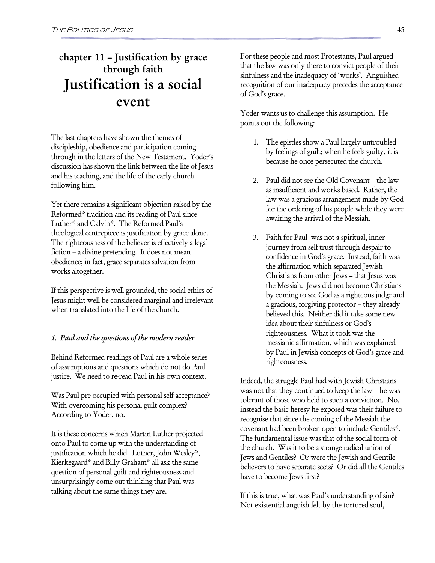### chapter 11 – Justification by grace through faith Justification is a social event

The last chapters have shown the themes of discipleship, obedience and participation coming through in the letters of the New Testament. Yoder's discussion has shown the link between the life of Jesus and his teaching, and the life of the early church following him.

Yet there remains a significant objection raised by the Reformed\* tradition and its reading of Paul since Luther\* and Calvin\*. The Reformed Paul's theological centrepiece is justification by grace alone. The righteousness of the believer is effectively a legal fiction – a divine pretending. It does not mean obedience; in fact, grace separates salvation from works altogether.

If this perspective is well grounded, the social ethics of Jesus might well be considered marginal and irrelevant when translated into the life of the church.

#### 1. Paul and the questions of the modern reader

Behind Reformed readings of Paul are a whole series of assumptions and questions which do not do Paul justice. We need to re-read Paul in his own context.

Was Paul pre-occupied with personal self-acceptance? With overcoming his personal guilt complex? According to Yoder, no.

It is these concerns which Martin Luther projected onto Paul to come up with the understanding of justification which he did. Luther, John Wesley\*, Kierkegaard\* and Billy Graham\* all ask the same question of personal guilt and righteousness and unsurprisingly come out thinking that Paul was talking about the same things they are.

For these people and most Protestants, Paul argued that the law was only there to convict people of their sinfulness and the inadequacy of 'works'. Anguished recognition of our inadequacy precedes the acceptance of God's grace.

Yoder wants us to challenge this assumption. He points out the following:

- 1. The epistles show a Paul largely untroubled by feelings of guilt; when he feels guilty, it is because he once persecuted the church.
- 2. Paul did not see the Old Covenant the law as insufficient and works based. Rather, the law was a gracious arrangement made by God for the ordering of his people while they were awaiting the arrival of the Messiah.
- 3. Faith for Paul was not a spiritual, inner journey from self trust through despair to confidence in God's grace. Instead, faith was the affirmation which separated Jewish Christians from other Jews – that Jesus was the Messiah. Jews did not become Christians by coming to see God as a righteous judge and a gracious, forgiving protector – they already believed this. Neither did it take some new idea about their sinfulness or God's righteousness. What it took was the messianic affirmation, which was explained by Paul in Jewish concepts of God's grace and righteousness.

Indeed, the struggle Paul had with Jewish Christians was not that they continued to keep the law – he was tolerant of those who held to such a conviction. No, instead the basic heresy he exposed was their failure to recognise that since the coming of the Messiah the covenant had been broken open to include Gentiles\*. The fundamental issue was that of the social form of the church. Was it to be a strange radical union of Jews and Gentiles? Or were the Jewish and Gentile believers to have separate sects? Or did all the Gentiles have to become Jews first?

If this is true, what was Paul's understanding of sin? Not existential anguish felt by the tortured soul,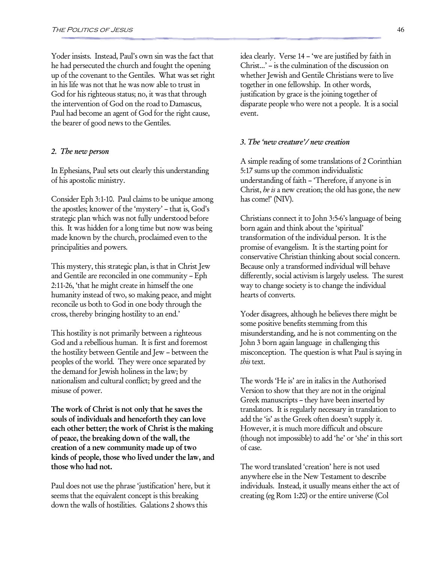Yoder insists. Instead, Paul's own sin was the fact that he had persecuted the church and fought the opening up of the covenant to the Gentiles. What was set right in his life was not that he was now able to trust in God for his righteous status; no, it was that through the intervention of God on the road to Damascus, Paul had become an agent of God for the right cause, the bearer of good news to the Gentiles.

#### 2. The new person

In Ephesians, Paul sets out clearly this understanding of his apostolic ministry.

Consider Eph 3:1-10. Paul claims to be unique among the apostles; knower of the 'mystery' – that is, God's strategic plan which was not fully understood before this. It was hidden for a long time but now was being made known by the church, proclaimed even to the principalities and powers.

This mystery, this strategic plan, is that in Christ Jew and Gentile are reconciled in one community – Eph 2:11-26, 'that he might create in himself the one humanity instead of two, so making peace, and might reconcile us both to God in one body through the cross, thereby bringing hostility to an end.'

This hostility is not primarily between a righteous God and a rebellious human. It is first and foremost the hostility between Gentile and Jew – between the peoples of the world. They were once separated by the demand for Jewish holiness in the law; by nationalism and cultural conflict; by greed and the misuse of power.

The work of Christ is not only that he saves the souls of individuals and henceforth they can love each other better; the work of Christ is the making of peace, the breaking down of the wall, the creation of a new community made up of two kinds of people, those who lived under the law, and those who had not.

Paul does not use the phrase 'justification' here, but it seems that the equivalent concept is this breaking down the walls of hostilities. Galations 2 shows this

idea clearly. Verse 14 – 'we are justified by faith in Christ...' – is the culmination of the discussion on whether Jewish and Gentile Christians were to live together in one fellowship. In other words, justification by grace is the joining together of disparate people who were not a people. It is a social event.

#### 3. The 'new creature'/ new creation

A simple reading of some translations of 2 Corinthian 5:17 sums up the common individualistic understanding of faith – 'Therefore, if anyone is in Christ, he is a new creation; the old has gone, the new has come!' (NIV).

Christians connect it to John 3:5-6's language of being born again and think about the 'spiritual' transformation of the individual person. It is the promise of evangelism. It is the starting point for conservative Christian thinking about social concern. Because only a transformed individual will behave differently, social activism is largely useless. The surest way to change society is to change the individual hearts of converts.

Yoder disagrees, although he believes there might be some positive benefits stemming from this misunderstanding, and he is not commenting on the John 3 born again language in challenging this misconception. The question is what Paul is saying in this text.

The words 'He is' are in italics in the Authorised Version to show that they are not in the original Greek manuscripts – they have been inserted by translators. It is regularly necessary in translation to add the 'is' as the Greek often doesn't supply it. However, it is much more difficult and obscure (though not impossible) to add 'he' or 'she' in this sort of case.

The word translated 'creation' here is not used anywhere else in the New Testament to describe individuals. Instead, it usually means either the act of creating (eg Rom 1:20) or the entire universe (Col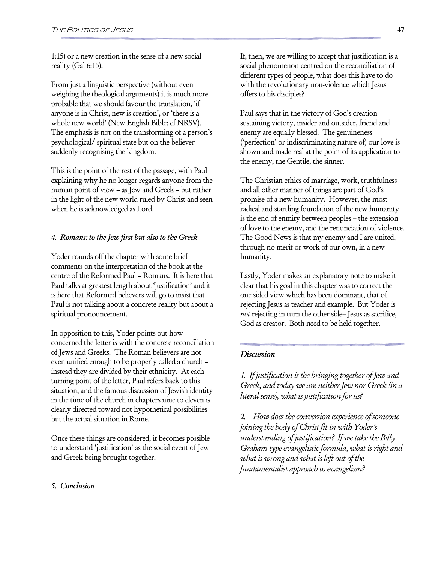1:15) or a new creation in the sense of a new social reality (Gal 6:15).

From just a linguistic perspective (without even weighing the theological arguments) it is much more probable that we should favour the translation, 'if anyone is in Christ, new is creation', or 'there is a whole new world' (New English Bible; cf NRSV). The emphasis is not on the transforming of a person's psychological/ spiritual state but on the believer suddenly recognising the kingdom.

This is the point of the rest of the passage, with Paul explaining why he no longer regards anyone from the human point of view – as Jew and Greek – but rather in the light of the new world ruled by Christ and seen when he is acknowledged as Lord.

#### 4. Romans: to the Jew first but also to the Greek

Yoder rounds off the chapter with some brief comments on the interpretation of the book at the centre of the Reformed Paul – Romans. It is here that Paul talks at greatest length about 'justification' and it is here that Reformed believers will go to insist that Paul is not talking about a concrete reality but about a spiritual pronouncement.

In opposition to this, Yoder points out how concerned the letter is with the concrete reconciliation of Jews and Greeks. The Roman believers are not even unified enough to be properly called a church – instead they are divided by their ethnicity. At each turning point of the letter, Paul refers back to this situation, and the famous discussion of Jewish identity in the time of the church in chapters nine to eleven is clearly directed toward not hypothetical possibilities but the actual situation in Rome.

Once these things are considered, it becomes possible to understand 'justification' as the social event of Jew and Greek being brought together.

If, then, we are willing to accept that justification is a social phenomenon centred on the reconciliation of different types of people, what does this have to do with the revolutionary non-violence which Jesus offers to his disciples?

Paul says that in the victory of God's creation sustaining victory, insider and outsider, friend and enemy are equally blessed. The genuineness ('perfection' or indiscriminating nature of) our love is shown and made real at the point of its application to the enemy, the Gentile, the sinner.

The Christian ethics of marriage, work, truthfulness and all other manner of things are part of God's promise of a new humanity. However, the most radical and startling foundation of the new humanity is the end of enmity between peoples – the extension of love to the enemy, and the renunciation of violence. The Good News is that my enemy and I are united, through no merit or work of our own, in a new humanity.

Lastly, Yoder makes an explanatory note to make it clear that his goal in this chapter was to correct the one sided view which has been dominant, that of rejecting Jesus as teacher and example. But Yoder is not rejecting in turn the other side– Jesus as sacrifice, God as creator. Both need to be held together.

#### **Discussion**

1. If justification is the bringing together of Jew and Greek, and today we are neither Jew nor Greek (in a literal sense), what is justification for us?

2. How does the conversion experience of someone joining the body of Christ fit in with Yoder's understanding of justification? If we take the Billy Graham type evangelistic formula, what is right and what is wrong and what is left out of the fundamentalist approach to evangelism?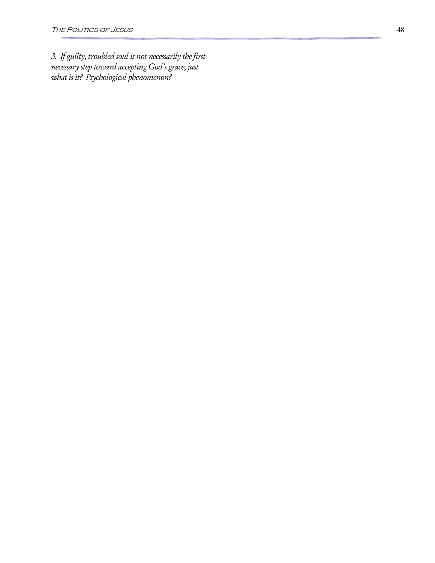3. If guilty, troubled soul is not necessarily the first necessary step toward accepting God's grace, just what is it? Psychological phenomenon?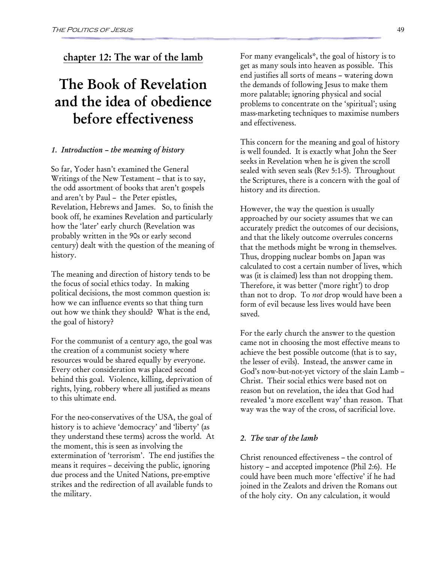### chapter 12: The war of the lamb

# The Book of Revelation and the idea of obedience before effectiveness

#### 1. Introduction – the meaning of history

So far, Yoder hasn't examined the General Writings of the New Testament – that is to say, the odd assortment of books that aren't gospels and aren't by Paul – the Peter epistles, Revelation, Hebrews and James. So, to finish the book off, he examines Revelation and particularly how the 'later' early church (Revelation was probably written in the 90s or early second century) dealt with the question of the meaning of history.

The meaning and direction of history tends to be the focus of social ethics today. In making political decisions, the most common question is: how we can influence events so that thing turn out how we think they should? What is the end, the goal of history?

For the communist of a century ago, the goal was the creation of a communist society where resources would be shared equally by everyone. Every other consideration was placed second behind this goal. Violence, killing, deprivation of rights, lying, robbery where all justified as means to this ultimate end.

For the neo-conservatives of the USA, the goal of history is to achieve 'democracy' and 'liberty' (as they understand these terms) across the world. At the moment, this is seen as involving the extermination of 'terrorism'. The end justifies the means it requires – deceiving the public, ignoring due process and the United Nations, pre-emptive strikes and the redirection of all available funds to the military.

For many evangelicals\*, the goal of history is to get as many souls into heaven as possible. This end justifies all sorts of means – watering down the demands of following Jesus to make them more palatable; ignoring physical and social problems to concentrate on the 'spiritual'; using mass-marketing techniques to maximise numbers and effectiveness.

This concern for the meaning and goal of history is well founded. It is exactly what John the Seer seeks in Revelation when he is given the scroll sealed with seven seals (Rev 5:1-5). Throughout the Scriptures, there is a concern with the goal of history and its direction.

However, the way the question is usually approached by our society assumes that we can accurately predict the outcomes of our decisions, and that the likely outcome overrules concerns that the methods might be wrong in themselves. Thus, dropping nuclear bombs on Japan was calculated to cost a certain number of lives, which was (it is claimed) less than not dropping them. Therefore, it was better ('more right') to drop than not to drop. To *not* drop would have been a form of evil because less lives would have been saved.

For the early church the answer to the question came not in choosing the most effective means to achieve the best possible outcome (that is to say, the lesser of evils). Instead, the answer came in God's now-but-not-yet victory of the slain Lamb – Christ. Their social ethics were based not on reason but on revelation, the idea that God had revealed 'a more excellent way' than reason. That way was the way of the cross, of sacrificial love.

#### 2. The war of the lamb

Christ renounced effectiveness – the control of history – and accepted impotence (Phil 2:6). He could have been much more 'effective' if he had joined in the Zealots and driven the Romans out of the holy city. On any calculation, it would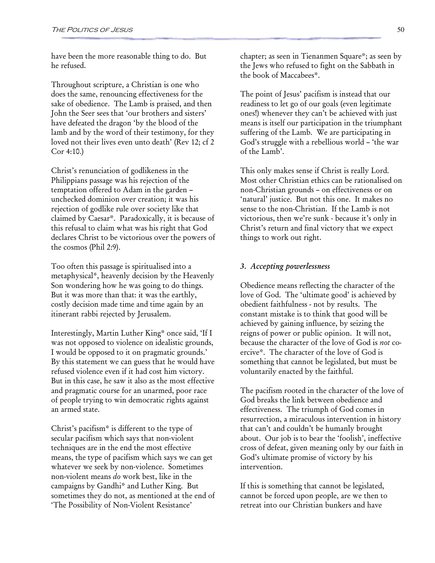have been the more reasonable thing to do. But he refused.

Throughout scripture, a Christian is one who does the same, renouncing effectiveness for the sake of obedience. The Lamb is praised, and then John the Seer sees that 'our brothers and sisters' have defeated the dragon 'by the blood of the lamb and by the word of their testimony, for they loved not their lives even unto death' (Rev 12; cf 2 Cor 4:10.)

Christ's renunciation of godlikeness in the Philippians passage was his rejection of the temptation offered to Adam in the garden – unchecked dominion over creation; it was his rejection of godlike rule over society like that claimed by Caesar\*. Paradoxically, it is because of this refusal to claim what was his right that God declares Christ to be victorious over the powers of the cosmos (Phil 2:9).

Too often this passage is spiritualised into a metaphysical\*, heavenly decision by the Heavenly Son wondering how he was going to do things. But it was more than that: it was the earthly, costly decision made time and time again by an itinerant rabbi rejected by Jerusalem.

Interestingly, Martin Luther King\* once said, 'If I was not opposed to violence on idealistic grounds, I would be opposed to it on pragmatic grounds.' By this statement we can guess that he would have refused violence even if it had cost him victory. But in this case, he saw it also as the most effective and pragmatic course for an unarmed, poor race of people trying to win democratic rights against an armed state.

Christ's pacifism\* is different to the type of secular pacifism which says that non-violent techniques are in the end the most effective means, the type of pacifism which says we can get whatever we seek by non-violence. Sometimes non-violent means do work best, like in the campaigns by Gandhi\* and Luther King. But sometimes they do not, as mentioned at the end of 'The Possibility of Non-Violent Resistance'

chapter; as seen in Tienanmen Square\*; as seen by the Jews who refused to fight on the Sabbath in the book of Maccabees\*.

The point of Jesus' pacifism is instead that our readiness to let go of our goals (even legitimate ones!) whenever they can't be achieved with just means is itself our participation in the triumphant suffering of the Lamb. We are participating in God's struggle with a rebellious world – 'the war of the Lamb'.

This only makes sense if Christ is really Lord. Most other Christian ethics can be rationalised on non-Christian grounds – on effectiveness or on 'natural' justice. But not this one. It makes no sense to the non-Christian. If the Lamb is not victorious, then we're sunk - because it's only in Christ's return and final victory that we expect things to work out right.

#### 3. Accepting powerlessness

Obedience means reflecting the character of the love of God. The 'ultimate good' is achieved by obedient faithfulness - not by results. The constant mistake is to think that good will be achieved by gaining influence, by seizing the reigns of power or public opinion. It will not, because the character of the love of God is not coercive\*. The character of the love of God is something that cannot be legislated, but must be voluntarily enacted by the faithful.

The pacifism rooted in the character of the love of God breaks the link between obedience and effectiveness. The triumph of God comes in resurrection, a miraculous intervention in history that can't and couldn't be humanly brought about. Our job is to bear the 'foolish', ineffective cross of defeat, given meaning only by our faith in God's ultimate promise of victory by his intervention.

If this is something that cannot be legislated, cannot be forced upon people, are we then to retreat into our Christian bunkers and have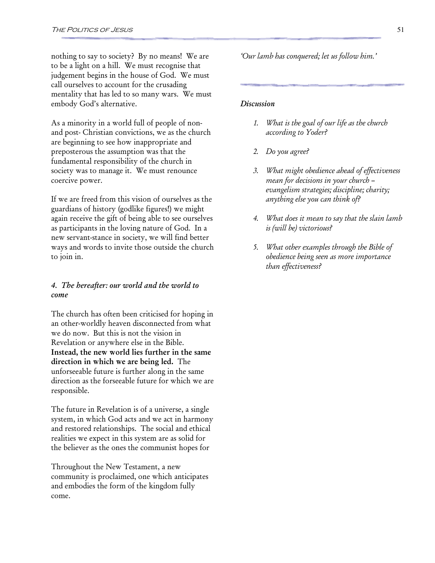nothing to say to society? By no means! We are to be a light on a hill. We must recognise that judgement begins in the house of God. We must call ourselves to account for the crusading mentality that has led to so many wars. We must embody God's alternative.

As a minority in a world full of people of nonand post- Christian convictions, we as the church are beginning to see how inappropriate and preposterous the assumption was that the fundamental responsibility of the church in society was to manage it. We must renounce coercive power.

If we are freed from this vision of ourselves as the guardians of history (godlike figures!) we might again receive the gift of being able to see ourselves as participants in the loving nature of God. In a new servant-stance in society, we will find better ways and words to invite those outside the church to join in.

#### 4. The hereafter: our world and the world to come

The church has often been criticised for hoping in an other-worldly heaven disconnected from what we do now. But this is not the vision in Revelation or anywhere else in the Bible. Instead, the new world lies further in the same direction in which we are being led. The unforseeable future is further along in the same direction as the forseeable future for which we are responsible.

The future in Revelation is of a universe, a single system, in which God acts and we act in harmony and restored relationships. The social and ethical realities we expect in this system are as solid for the believer as the ones the communist hopes for

Throughout the New Testament, a new community is proclaimed, one which anticipates and embodies the form of the kingdom fully come.

'Our lamb has conquered; let us follow him.'

#### Discussion

- 1. What is the goal of our life as the church according to Yoder?
- 2. Do you agree?
- 3. What might obedience ahead of effectiveness mean for decisions in your church – evangelism strategies; discipline; charity; anything else you can think of?
- 4. What does it mean to say that the slain lamb is (will be) victorious?
- 5. What other examples through the Bible of obedience being seen as more importance than effectiveness?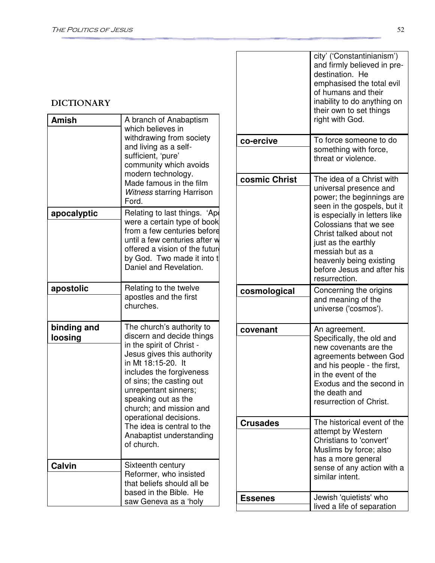### DICTIONARY

| <b>Amish</b>           | A branch of Anabaptism<br>which believes in<br>withdrawing from society<br>and living as a self-<br>sufficient, 'pure'<br>community which avoids<br>modern technology.<br>Made famous in the film<br><b>Witness starring Harrison</b><br>Ford.                                                                                                                              | $CO - 6$<br>COSI   |
|------------------------|-----------------------------------------------------------------------------------------------------------------------------------------------------------------------------------------------------------------------------------------------------------------------------------------------------------------------------------------------------------------------------|--------------------|
| apocalyptic            | Relating to last things. 'Ape<br>were a certain type of book<br>from a few centuries before<br>until a few centuries after w<br>offered a vision of the future<br>by God. Two made it into t<br>Daniel and Revelation.                                                                                                                                                      |                    |
| apostolic              | Relating to the twelve<br>apostles and the first<br>churches.                                                                                                                                                                                                                                                                                                               | COSI               |
| binding and<br>loosing | The church's authority to<br>discern and decide things<br>in the spirit of Christ -<br>Jesus gives this authority<br>in Mt 18:15-20. It<br>includes the forgiveness<br>of sins; the casting out<br>unrepentant sinners;<br>speaking out as the<br>church; and mission and<br>operational decisions.<br>The idea is central to the<br>Anabaptist understanding<br>of church. | <b>COV</b><br>Crus |
| <b>Calvin</b>          | Sixteenth century<br>Reformer, who insisted                                                                                                                                                                                                                                                                                                                                 |                    |
|                        | that beliefs should all be<br>based in the Bible. He<br>saw Geneva as a 'holy                                                                                                                                                                                                                                                                                               | <b>Ess</b>         |

|                 | city' ('Constantinianism')<br>and firmly believed in pre-<br>destination. He<br>emphasised the total evil<br>of humans and their<br>inability to do anything on<br>their own to set things<br>right with God.                                                                                                              |
|-----------------|----------------------------------------------------------------------------------------------------------------------------------------------------------------------------------------------------------------------------------------------------------------------------------------------------------------------------|
| co-ercive       | To force someone to do<br>something with force,<br>threat or violence.                                                                                                                                                                                                                                                     |
| cosmic Christ   | The idea of a Christ with<br>universal presence and<br>power; the beginnings are<br>seen in the gospels, but it<br>is especially in letters like<br>Colossians that we see<br>Christ talked about not<br>just as the earthly<br>messiah but as a<br>heavenly being existing<br>before Jesus and after his<br>resurrection. |
| cosmological    | Concerning the origins<br>and meaning of the<br>universe ('cosmos').                                                                                                                                                                                                                                                       |
| covenant        | An agreement.<br>Specifically, the old and<br>new covenants are the<br>agreements between God<br>and his people - the first,<br>in the event of the<br>Exodus and the second in<br>the death and<br>resurrection of Christ.                                                                                                |
| <b>Crusades</b> | The historical event of the<br>attempt by Western<br>Christians to 'convert'<br>Muslims by force; also<br>has a more general<br>sense of any action with a<br>similar intent.                                                                                                                                              |
| <b>Essenes</b>  | Jewish 'quietists' who<br>lived a life of separation                                                                                                                                                                                                                                                                       |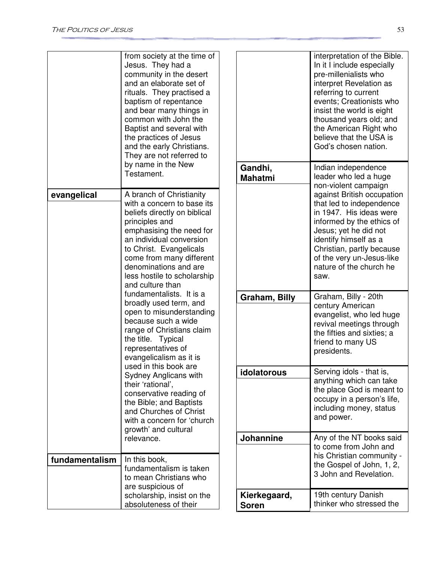|                                                                                                                                                                                                           | from society at the time of<br>Jesus. They had a<br>community in the desert<br>and an elaborate set of<br>rituals. They practised a<br>baptism of repentance<br>and bear many things in<br>common with John the<br>Baptist and several with<br>the practices of Jesus<br>and the early Christians.<br>They are not referred to |                                                                                                                                                         | interpretation of the Bible.<br>In it I include especially<br>pre-millenialists who<br>interpret Revelation as<br>referring to current<br>events; Creationists who<br>insist the world is eight<br>thousand years old; and<br>the American Right who<br>believe that the USA is<br>God's chosen nation. |
|-----------------------------------------------------------------------------------------------------------------------------------------------------------------------------------------------------------|--------------------------------------------------------------------------------------------------------------------------------------------------------------------------------------------------------------------------------------------------------------------------------------------------------------------------------|---------------------------------------------------------------------------------------------------------------------------------------------------------|---------------------------------------------------------------------------------------------------------------------------------------------------------------------------------------------------------------------------------------------------------------------------------------------------------|
|                                                                                                                                                                                                           | by name in the New<br>Testament.                                                                                                                                                                                                                                                                                               | Gandhi,<br><b>Mahatmi</b>                                                                                                                               | Indian independence<br>leader who led a huge<br>non-violent campaign                                                                                                                                                                                                                                    |
| evangelical                                                                                                                                                                                               | A branch of Christianity<br>with a concern to base its<br>beliefs directly on biblical<br>principles and<br>emphasising the need for<br>an individual conversion<br>to Christ. Evangelicals<br>come from many different<br>denominations and are<br>less hostile to scholarship<br>and culture than                            |                                                                                                                                                         | against British occupation<br>that led to independence<br>in 1947. His ideas were<br>informed by the ethics of<br>Jesus; yet he did not<br>identify himself as a<br>Christian, partly because<br>of the very un-Jesus-like<br>nature of the church he<br>saw.                                           |
|                                                                                                                                                                                                           | fundamentalists. It is a<br>broadly used term, and<br>open to misunderstanding<br>because such a wide<br>range of Christians claim<br>the title. Typical<br>representatives of<br>evangelicalism as it is                                                                                                                      | Graham, Billy                                                                                                                                           | Graham, Billy - 20th<br>century American<br>evangelist, who led huge<br>revival meetings through<br>the fifties and sixties; a<br>friend to many US<br>presidents.                                                                                                                                      |
| used in this book are<br>Sydney Anglicans with<br>their 'rational',<br>conservative reading of<br>the Bible; and Baptists<br>and Churches of Christ<br>with a concern for 'church<br>growth' and cultural | idolatorous                                                                                                                                                                                                                                                                                                                    | Serving idols - that is,<br>anything which can take<br>the place God is meant to<br>occupy in a person's life,<br>including money, status<br>and power. |                                                                                                                                                                                                                                                                                                         |
|                                                                                                                                                                                                           | relevance.                                                                                                                                                                                                                                                                                                                     | Johannine                                                                                                                                               | Any of the NT books said<br>to come from John and<br>his Christian community -                                                                                                                                                                                                                          |
| fundamentalism                                                                                                                                                                                            | In this book,<br>fundamentalism is taken<br>to mean Christians who<br>are suspicious of                                                                                                                                                                                                                                        |                                                                                                                                                         | the Gospel of John, 1, 2,<br>3 John and Revelation.                                                                                                                                                                                                                                                     |
| scholarship, insist on the<br>absoluteness of their                                                                                                                                                       |                                                                                                                                                                                                                                                                                                                                | Kierkegaard,<br><b>Soren</b>                                                                                                                            | 19th century Danish<br>thinker who stressed the                                                                                                                                                                                                                                                         |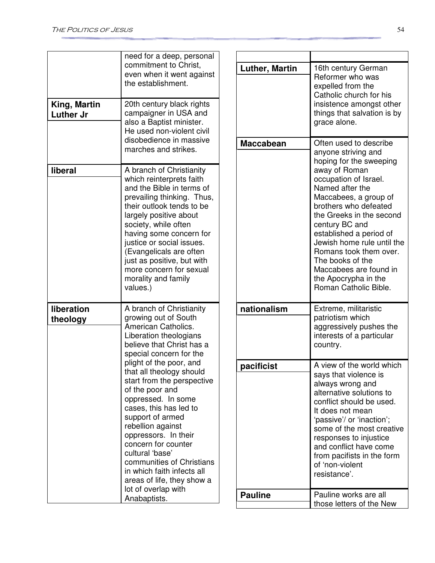| King, Martin<br><b>Luther Jr</b> | need for a deep, personal<br>commitment to Christ,<br>even when it went against<br>the establishment.<br>20th century black rights<br>campaigner in USA and<br>also a Baptist minister.<br>He used non-violent civil                                                                                                                                                            |  | <b>Luther, Martin</b> | 16th century German<br>Reformer who was<br>expelled from the<br>Catholic church for his<br>insistence amongst other<br>things that salvation is by<br>grace alone.                                                                                                                                                                          |
|----------------------------------|---------------------------------------------------------------------------------------------------------------------------------------------------------------------------------------------------------------------------------------------------------------------------------------------------------------------------------------------------------------------------------|--|-----------------------|---------------------------------------------------------------------------------------------------------------------------------------------------------------------------------------------------------------------------------------------------------------------------------------------------------------------------------------------|
|                                  | disobedience in massive<br>marches and strikes.                                                                                                                                                                                                                                                                                                                                 |  | <b>Maccabean</b>      | Often used to describe<br>anyone striving and<br>hoping for the sweeping                                                                                                                                                                                                                                                                    |
| liberal                          | A branch of Christianity<br>which reinterprets faith<br>and the Bible in terms of<br>prevailing thinking. Thus,<br>their outlook tends to be<br>largely positive about<br>society, while often<br>having some concern for<br>justice or social issues.<br>(Evangelicals are often<br>just as positive, but with<br>more concern for sexual<br>morality and family<br>values.)   |  |                       | away of Roman<br>occupation of Israel.<br>Named after the<br>Maccabees, a group of<br>brothers who defeated<br>the Greeks in the second<br>century BC and<br>established a period of<br>Jewish home rule until the<br>Romans took them over.<br>The books of the<br>Maccabees are found in<br>the Apocrypha in the<br>Roman Catholic Bible. |
| liberation<br>theology           | A branch of Christianity<br>growing out of South<br>American Catholics.<br>Liberation theologians<br>believe that Christ has a<br>special concern for the                                                                                                                                                                                                                       |  | nationalism           | Extreme, militaristic<br>patriotism which<br>aggressively pushes the<br>interests of a particular<br>country.                                                                                                                                                                                                                               |
|                                  | plight of the poor, and<br>that all theology should<br>start from the perspective<br>of the poor and<br>oppressed. In some<br>cases, this has led to<br>support of armed<br>rebellion against<br>oppressors. In their<br>concern for counter<br>cultural 'base'<br>communities of Christians<br>in which faith infects all<br>areas of life, they show a<br>lot of overlap with |  | pacificist            | A view of the world which<br>says that violence is<br>always wrong and<br>alternative solutions to<br>conflict should be used.<br>It does not mean<br>'passive'/ or 'inaction';<br>some of the most creative<br>responses to injustice<br>and conflict have come<br>from pacifists in the form<br>of 'non-violent<br>resistance'.           |
|                                  | Anabaptists.                                                                                                                                                                                                                                                                                                                                                                    |  | <b>Pauline</b>        | Pauline works are all<br>those letters of the New                                                                                                                                                                                                                                                                                           |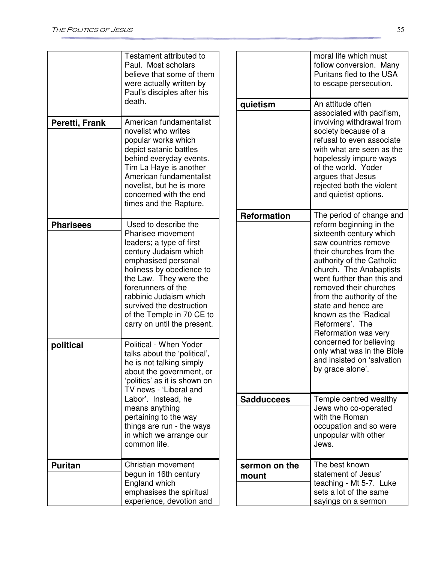|                  | Testament attributed to<br>Paul. Most scholars<br>believe that some of them<br>were actually written by<br>Paul's disciples after his<br>death.                                                                                                                                                                     | quietis         |
|------------------|---------------------------------------------------------------------------------------------------------------------------------------------------------------------------------------------------------------------------------------------------------------------------------------------------------------------|-----------------|
| Peretti, Frank   | American fundamentalist<br>novelist who writes<br>popular works which<br>depict satanic battles<br>behind everyday events.<br>Tim La Haye is another<br>American fundamentalist<br>novelist, but he is more<br>concerned with the end<br>times and the Rapture.                                                     | Reform          |
| <b>Pharisees</b> | Used to describe the<br>Pharisee movement<br>leaders; a type of first<br>century Judaism which<br>emphasised personal<br>holiness by obedience to<br>the Law. They were the<br>forerunners of the<br>rabbinic Judaism which<br>survived the destruction<br>of the Temple in 70 CE to<br>carry on until the present. |                 |
| political        | Political - When Yoder<br>talks about the 'political',<br>he is not talking simply<br>about the government, or<br>'politics' as it is shown on<br>TV news - 'Liberal and<br>Labor'. Instead, he<br>means anything<br>pertaining to the way<br>things are run - the ways<br>in which we arrange our<br>common life.  | <b>Sadduo</b>   |
| <b>Puritan</b>   | Christian movement<br>begun in 16th century<br>England which<br>emphasises the spiritual<br>experience, devotion and                                                                                                                                                                                                | sermor<br>mount |

|                        | moral life which must<br>follow conversion. Many<br>Puritans fled to the USA<br>to escape persecution.                                                                                                                                                                                                                                                                                                                                                                               |
|------------------------|--------------------------------------------------------------------------------------------------------------------------------------------------------------------------------------------------------------------------------------------------------------------------------------------------------------------------------------------------------------------------------------------------------------------------------------------------------------------------------------|
| quietism               | An attitude often<br>associated with pacifism,<br>involving withdrawal from<br>society because of a<br>refusal to even associate<br>with what are seen as the<br>hopelessly impure ways<br>of the world. Yoder<br>argues that Jesus<br>rejected both the violent<br>and quietist options.                                                                                                                                                                                            |
| <b>Reformation</b>     | The period of change and<br>reform beginning in the<br>sixteenth century which<br>saw countries remove<br>their churches from the<br>authority of the Catholic<br>church. The Anabaptists<br>went further than this and<br>removed their churches<br>from the authority of the<br>state and hence are<br>known as the 'Radical<br>Reformers'. The<br>Reformation was very<br>concerned for believing<br>only what was in the Bible<br>and insisted on 'salvation<br>by grace alone'. |
| <b>Sadduccees</b>      | Temple centred wealthy<br>Jews who co-operated<br>with the Roman<br>occupation and so were<br>unpopular with other<br>Jews.                                                                                                                                                                                                                                                                                                                                                          |
| sermon on the<br>mount | The best known<br>statement of Jesus'<br>teaching - Mt 5-7. Luke<br>sets a lot of the same<br>sayings on a sermon                                                                                                                                                                                                                                                                                                                                                                    |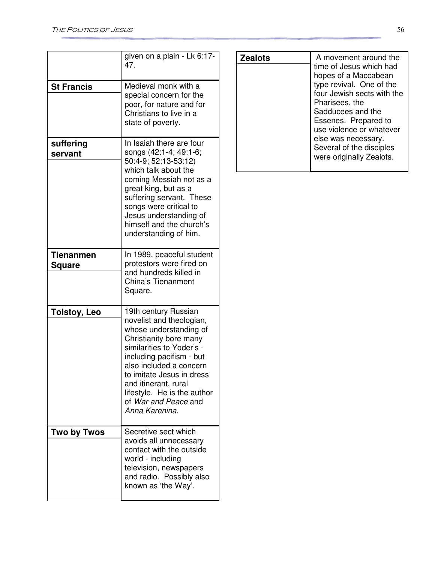|                                   | given on a plain - Lk 6:17-<br>47.                                                                                                                                                                                                                                                                                     |
|-----------------------------------|------------------------------------------------------------------------------------------------------------------------------------------------------------------------------------------------------------------------------------------------------------------------------------------------------------------------|
| <b>St Francis</b>                 | Medieval monk with a<br>special concern for the<br>poor, for nature and for<br>Christians to live in a<br>state of poverty.                                                                                                                                                                                            |
| suffering<br>servant              | In Isaiah there are four<br>songs (42:1-4; 49:1-6;<br>50:4-9; 52:13-53:12)<br>which talk about the<br>coming Messiah not as a<br>great king, but as a<br>suffering servant. These<br>songs were critical to<br>Jesus understanding of<br>himself and the church's<br>understanding of him.                             |
| <b>Tienanmen</b><br><b>Square</b> | In 1989, peaceful student<br>protestors were fired on<br>and hundreds killed in<br>China's Tienanment<br>Square.                                                                                                                                                                                                       |
| <b>Tolstoy, Leo</b>               | 19th century Russian<br>novelist and theologian,<br>whose understanding of<br>Christianity bore many<br>similarities to Yoder's -<br>including pacifism - but<br>also included a concern<br>to imitate Jesus in dress<br>and itinerant, rural<br>lifestyle. He is the author<br>of War and Peace and<br>Anna Karenina. |
| Two by Twos                       | Secretive sect which<br>avoids all unnecessary<br>contact with the outside<br>world - including<br>television, newspapers<br>and radio. Possibly also<br>known as 'the Way'.                                                                                                                                           |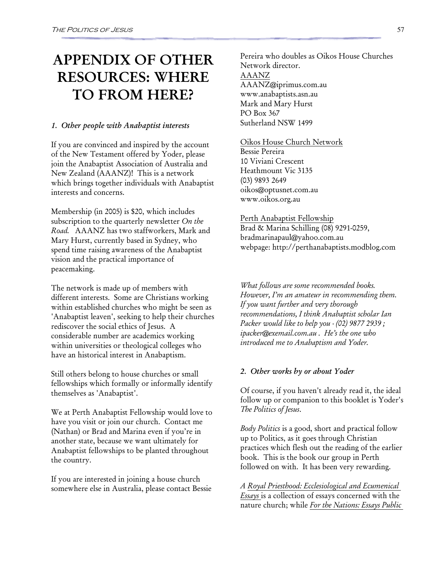# APPENDIX OF OTHER RESOURCES: WHERE TO FROM HERE?

#### 1. Other people with Anabaptist interests

If you are convinced and inspired by the account of the New Testament offered by Yoder, please join the Anabaptist Association of Australia and New Zealand (AAANZ)! This is a network which brings together individuals with Anabaptist interests and concerns.

Membership (in 2005) is \$20, which includes subscription to the quarterly newsletter On the Road. AAANZ has two staffworkers, Mark and Mary Hurst, currently based in Sydney, who spend time raising awareness of the Anabaptist vision and the practical importance of peacemaking.

The network is made up of members with different interests. Some are Christians working within established churches who might be seen as 'Anabaptist leaven', seeking to help their churches rediscover the social ethics of Jesus. A considerable number are academics working within universities or theological colleges who have an historical interest in Anabaptism.

Still others belong to house churches or small fellowships which formally or informally identify themselves as 'Anabaptist'.

We at Perth Anabaptist Fellowship would love to have you visit or join our church. Contact me (Nathan) or Brad and Marina even if you're in another state, because we want ultimately for Anabaptist fellowships to be planted throughout the country.

If you are interested in joining a house church somewhere else in Australia, please contact Bessie Pereira who doubles as Oikos House Churches Network director. AAANZ AAANZ@iprimus.com.au www.anabaptists.asn.au Mark and Mary Hurst PO Box 367 Sutherland NSW 1499

Oikos House Church Network

Bessie Pereira 10 Viviani Crescent Heathmount Vic 3135 (03) 9893 2649 oikos@optusnet.com.au www.oikos.org.au

Perth Anabaptist Fellowship

Brad & Marina Schilling (08) 9291-0259, bradmarinapaul@yahoo.com.au webpage: http://perthanabaptists.modblog.com

What follows are some recommended books. However, I'm an amateur in recommending them. If you want further and very thorough recommendations, I think Anabaptist scholar Ian Packer would like to help you - (02) 9877 2939 ; ipacker@exemail.com.au . He's the one who introduced me to Anabaptism and Yoder.

#### 2. Other works by or about Yoder

Of course, if you haven't already read it, the ideal follow up or companion to this booklet is Yoder's The Politics of Jesus.

*Body Politics* is a good, short and practical follow up to Politics, as it goes through Christian practices which flesh out the reading of the earlier book. This is the book our group in Perth followed on with. It has been very rewarding.

A Royal Priesthood: Ecclesiological and Ecumenical Essays is a collection of essays concerned with the nature church; while For the Nations: Essays Public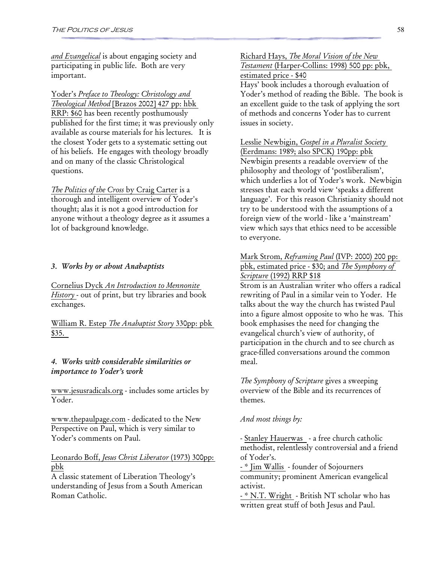and Evangelical is about engaging society and participating in public life. Both are very important.

Yoder's Preface to Theology: Christology and Theological Method [Brazos 2002] 427 pp: hbk RRP: \$60 has been recently posthumously published for the first time; it was previously only available as course materials for his lectures. It is the closest Yoder gets to a systematic setting out of his beliefs. He engages with theology broadly and on many of the classic Christological questions.

The Politics of the Cross by Craig Carter is a thorough and intelligent overview of Yoder's thought; alas it is not a good introduction for anyone without a theology degree as it assumes a lot of background knowledge.

#### 3. Works by or about Anabaptists

Cornelius Dyck An Introduction to Mennonite History - out of print, but try libraries and book exchanges.

William R. Estep *The Anabaptist Story* 330pp: pbk \$35.

#### 4. Works with considerable similarities or importance to Yoder's work

www.jesusradicals.org - includes some articles by Yoder.

www.thepaulpage.com - dedicated to the New Perspective on Paul, which is very similar to Yoder's comments on Paul.

#### Leonardo Boff, Jesus Christ Liberator (1973) 300pp: pbk

A classic statement of Liberation Theology's understanding of Jesus from a South American Roman Catholic.

Richard Hays, The Moral Vision of the New Testament (Harper-Collins: 1998) 500 pp: pbk, estimated price - \$40

Hays' book includes a thorough evaluation of Yoder's method of reading the Bible. The book is an excellent guide to the task of applying the sort of methods and concerns Yoder has to current issues in society.

Lesslie Newbigin, Gospel in a Pluralist Society (Eerdmans: 1989; also SPCK) 190pp: pbk Newbigin presents a readable overview of the philosophy and theology of 'postliberalism', which underlies a lot of Yoder's work. Newbigin stresses that each world view 'speaks a different language'. For this reason Christianity should not try to be understood with the assumptions of a foreign view of the world - like a 'mainstream' view which says that ethics need to be accessible to everyone.

#### Mark Strom, *Reframing Paul* (IVP: 2000) 200 pp: pbk, estimated price - \$30; and The Symphony of Scripture (1992) RRP \$18

Strom is an Australian writer who offers a radical rewriting of Paul in a similar vein to Yoder. He talks about the way the church has twisted Paul into a figure almost opposite to who he was. This book emphasises the need for changing the evangelical church's view of authority, of participation in the church and to see church as grace-filled conversations around the common meal.

The Symphony of Scripture gives a sweeping overview of the Bible and its recurrences of themes.

#### And most things by:

- Stanley Hauerwas - a free church catholic methodist, relentlessly controversial and a friend of Yoder's.

- \* Jim Wallis - founder of Sojourners community; prominent American evangelical activist.

- \* N.T. Wright - British NT scholar who has written great stuff of both Jesus and Paul.